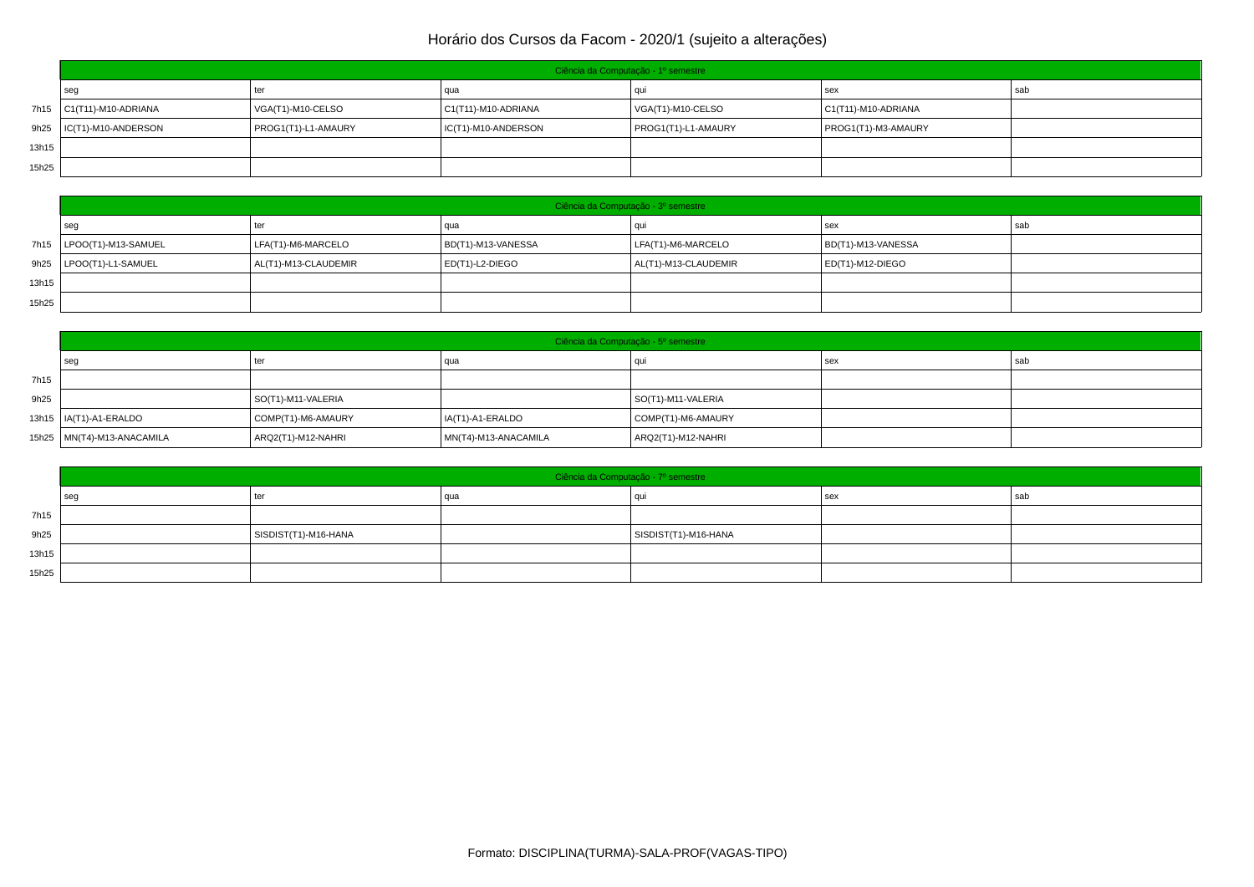|       | Ciência da Computação - 1º semestre |                     |                        |                     |                        |     |  |  |  |
|-------|-------------------------------------|---------------------|------------------------|---------------------|------------------------|-----|--|--|--|
|       | seg                                 | ter                 | l qua                  |                     | sex                    | sab |  |  |  |
|       | 7h15   C1(T11)-M10-ADRIANA          | VGA(T1)-M10-CELSO   | $C1(T11)$ -M10-ADRIANA | VGA(T1)-M10-CELSO   | $C1(T11)$ -M10-ADRIANA |     |  |  |  |
|       | 9h25   IC(T1)-M10-ANDERSON          | PROG1(T1)-L1-AMAURY | IC(T1)-M10-ANDERSON    | PROG1(T1)-L1-AMAURY | PROG1(T1)-M3-AMAURY    |     |  |  |  |
| 13h15 |                                     |                     |                        |                     |                        |     |  |  |  |
| 15h25 |                                     |                     |                        |                     |                        |     |  |  |  |

|       | Ciência da Computação - 3º semestre |                      |                     |                      |                    |     |  |  |
|-------|-------------------------------------|----------------------|---------------------|----------------------|--------------------|-----|--|--|
|       | seg                                 |                      | qua                 |                      | sex                | sab |  |  |
|       | 7h15   LPOO(T1)-M13-SAMUEL          | LFA(T1)-M6-MARCELO   | BD(T1)-M13-VANESSA  | LFA(T1)-M6-MARCELO   | BD(T1)-M13-VANESSA |     |  |  |
|       | 9h25   LPOO(T1)-L1-SAMUEL           | AL(T1)-M13-CLAUDEMIR | $ ED(T1)-L2-DIEGO $ | AL(T1)-M13-CLAUDEMIR | ED(T1)-M12-DIEGO   |     |  |  |
| 13h15 |                                     |                      |                     |                      |                    |     |  |  |
| 15h25 |                                     |                      |                     |                      |                    |     |  |  |

|      | Ciência da Computação - 5º semestre |                    |                      |                    |     |     |  |  |
|------|-------------------------------------|--------------------|----------------------|--------------------|-----|-----|--|--|
|      | seg                                 | ter                | qua                  |                    | sex | sab |  |  |
| 7h15 |                                     |                    |                      |                    |     |     |  |  |
| 9h25 |                                     | SO(T1)-M11-VALERIA |                      | SO(T1)-M11-VALERIA |     |     |  |  |
|      | 13h15   IA(T1)-A1-ERALDO            | COMP(T1)-M6-AMAURY | IA(T1)-A1-ERALDO     | COMP(T1)-M6-AMAURY |     |     |  |  |
|      | 15h25   MN(T4)-M13-ANACAMILA        | ARQ2(T1)-M12-NAHRI | MN(T4)-M13-ANACAMILA | ARQ2(T1)-M12-NAHRI |     |     |  |  |

|       | Ciência da Computação - 7º semestre |                      |     |                      |       |       |  |  |
|-------|-------------------------------------|----------------------|-----|----------------------|-------|-------|--|--|
|       | seg                                 | ter                  | qua | au                   | l sex | ' sat |  |  |
| 7h15  |                                     |                      |     |                      |       |       |  |  |
| 9h25  |                                     | SISDIST(T1)-M16-HANA |     | SISDIST(T1)-M16-HANA |       |       |  |  |
| 13h15 |                                     |                      |     |                      |       |       |  |  |
| 15h25 |                                     |                      |     |                      |       |       |  |  |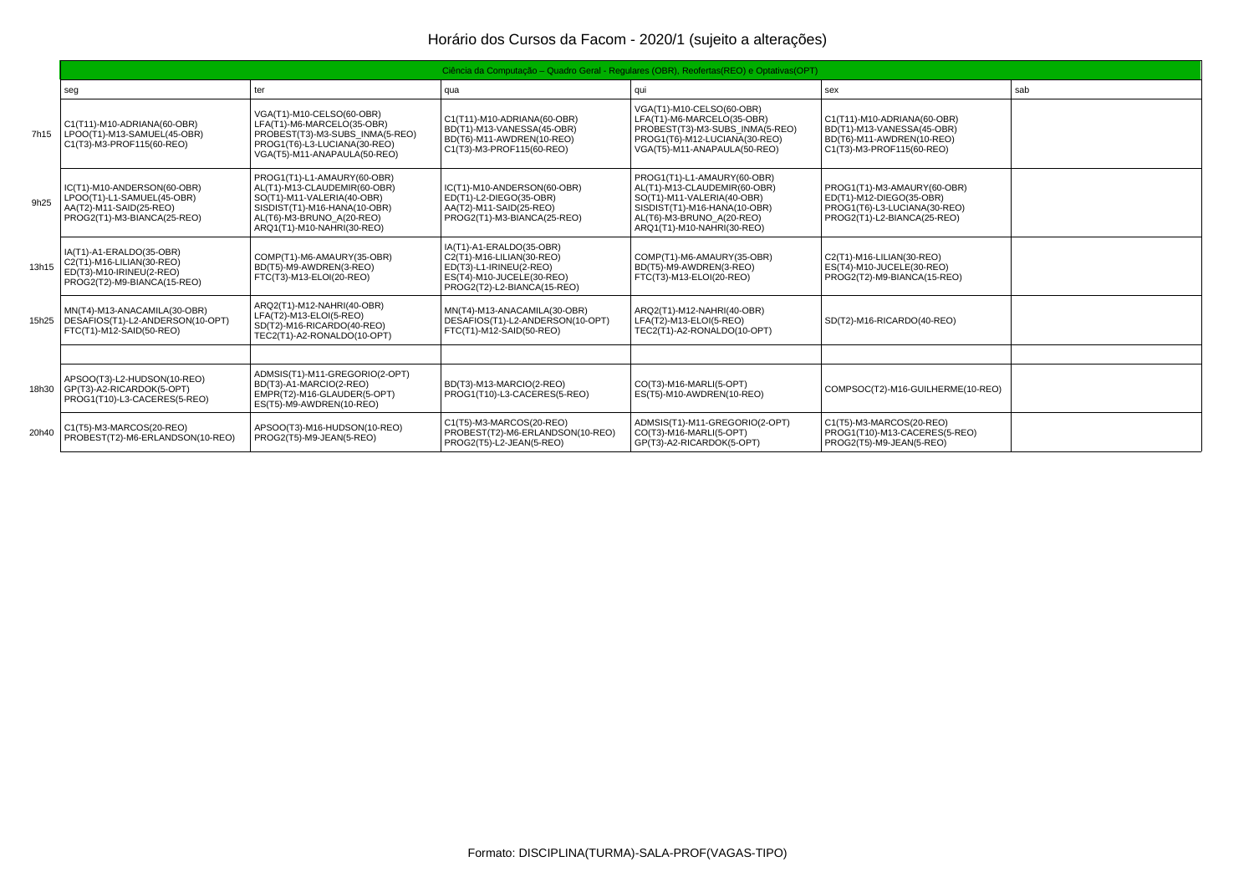|       | Ciência da Computação – Quadro Geral - Regulares (OBR), Reofertas (REO) e Optativas (OPT)                           |                                                                                                                                                                                      |                                                                                                                                              |                                                                                                                                                                                      |                                                                                                                        |     |  |  |
|-------|---------------------------------------------------------------------------------------------------------------------|--------------------------------------------------------------------------------------------------------------------------------------------------------------------------------------|----------------------------------------------------------------------------------------------------------------------------------------------|--------------------------------------------------------------------------------------------------------------------------------------------------------------------------------------|------------------------------------------------------------------------------------------------------------------------|-----|--|--|
|       | seg                                                                                                                 | ter                                                                                                                                                                                  | qua                                                                                                                                          | qui                                                                                                                                                                                  | sex                                                                                                                    | sab |  |  |
|       | C1(T11)-M10-ADRIANA(60-OBR)<br>7h15   LPOO(T1)-M13-SAMUEL(45-OBR)<br>C1(T3)-M3-PROF115(60-REO)                      | VGA(T1)-M10-CELSO(60-OBR)<br>LFA(T1)-M6-MARCELO(35-OBR)<br>PROBEST(T3)-M3-SUBS INMA(5-REO)<br>PROG1(T6)-L3-LUCIANA(30-REO)<br>VGA(T5)-M11-ANAPAULA(50-REO)                           | C1(T11)-M10-ADRIANA(60-OBR)<br>BD(T1)-M13-VANESSA(45-OBR)<br>BD(T6)-M11-AWDREN(10-REO)<br>C1(T3)-M3-PROF115(60-REO)                          | VGA(T1)-M10-CELSO(60-OBR)<br>LFA(T1)-M6-MARCELO(35-OBR)<br>PROBEST(T3)-M3-SUBS INMA(5-REO)<br>PROG1(T6)-M12-LUCIANA(30-REO)<br>VGA(T5)-M11-ANAPAULA(50-REO)                          | C1(T11)-M10-ADRIANA(60-OBR)<br>BD(T1)-M13-VANESSA(45-OBR)<br>BD(T6)-M11-AWDREN(10-REO)<br>C1(T3)-M3-PROF115(60-REO)    |     |  |  |
| 9h25  | IC(T1)-M10-ANDERSON(60-OBR)<br>LPOO(T1)-L1-SAMUEL(45-OBR)<br>AA(T2)-M11-SAID(25-REO)<br>PROG2(T1)-M3-BIANCA(25-REO) | PROG1(T1)-L1-AMAURY(60-OBR)<br>AL(T1)-M13-CLAUDEMIR(60-OBR)<br>SO(T1)-M11-VALERIA(40-OBR)<br>SISDIST(T1)-M16-HANA(10-OBR)<br>AL(T6)-M3-BRUNO A(20-REO)<br>ARO1(T1)-M10-NAHRI(30-REO) | IC(T1)-M10-ANDERSON(60-OBR)<br>ED(T1)-L2-DIEGO(35-OBR)<br>AA(T2)-M11-SAID(25-REO)<br>PROG2(T1)-M3-BIANCA(25-REO)                             | PROG1(T1)-L1-AMAURY(60-OBR)<br>AL(T1)-M13-CLAUDEMIR(60-OBR)<br>SO(T1)-M11-VALERIA(40-OBR)<br>SISDIST(T1)-M16-HANA(10-OBR)<br>AL(T6)-M3-BRUNO A(20-REO)<br>ARO1(T1)-M10-NAHRI(30-REO) | PROG1(T1)-M3-AMAURY(60-OBR)<br>ED(T1)-M12-DIEGO(35-OBR)<br>PROG1(T6)-L3-LUCIANA(30-REO)<br>PROG2(T1)-L2-BIANCA(25-REO) |     |  |  |
| 13h15 | IA(T1)-A1-ERALDO(35-OBR)<br>C2(T1)-M16-LILIAN(30-REO)<br>ED(T3)-M10-IRINEU(2-REO)<br>PROG2(T2)-M9-BIANCA(15-REO)    | COMP(T1)-M6-AMAURY(35-OBR)<br>BD(T5)-M9-AWDREN(3-REO)<br>FTC(T3)-M13-ELOI(20-REO)                                                                                                    | IA(T1)-A1-ERALDO(35-OBR)<br>C2(T1)-M16-LILIAN(30-REO)<br>ED(T3)-L1-IRINEU(2-REO)<br>ES(T4)-M10-JUCELE(30-REO)<br>PROG2(T2)-L2-BIANCA(15-REO) | COMP(T1)-M6-AMAURY(35-OBR)<br>BD(T5)-M9-AWDREN(3-REO)<br>FTC(T3)-M13-ELOI(20-REO)                                                                                                    | C2(T1)-M16-LILIAN(30-REO)<br>ES(T4)-M10-JUCELE(30-REO)<br>PROG2(T2)-M9-BIANCA(15-REO)                                  |     |  |  |
|       | MN(T4)-M13-ANACAMILA(30-OBR)<br>15h25   DESAFIOS(T1)-L2-ANDERSON(10-OPT)<br>FTC(T1)-M12-SAID(50-REO)                | ARQ2(T1)-M12-NAHRI(40-OBR)<br>LFA(T2)-M13-ELOI(5-REO)<br>SD(T2)-M16-RICARDO(40-REO)<br>TEC2(T1)-A2-RONALDO(10-OPT)                                                                   | MN(T4)-M13-ANACAMILA(30-OBR)<br>DESAFIOS(T1)-L2-ANDERSON(10-OPT)<br>FTC(T1)-M12-SAID(50-REO)                                                 | ARQ2(T1)-M12-NAHRI(40-OBR)<br>LFA(T2)-M13-ELOI(5-REO)<br>TEC2(T1)-A2-RONALDO(10-OPT)                                                                                                 | SD(T2)-M16-RICARDO(40-REO)                                                                                             |     |  |  |
|       |                                                                                                                     |                                                                                                                                                                                      |                                                                                                                                              |                                                                                                                                                                                      |                                                                                                                        |     |  |  |
|       | APSOO(T3)-L2-HUDSON(10-REO)<br>18h30   GP(T3)-A2-RICARDOK(5-OPT)<br>PROG1(T10)-L3-CACERES(5-REO)                    | ADMSIS(T1)-M11-GREGORIO(2-OPT)<br>BD(T3)-A1-MARCIO(2-REO)<br>EMPR(T2)-M16-GLAUDER(5-OPT)<br>ES(T5)-M9-AWDREN(10-REO)                                                                 | BD(T3)-M13-MARCIO(2-REO)<br>PROG1(T10)-L3-CACERES(5-REO)                                                                                     | CO(T3)-M16-MARLI(5-OPT)<br>ES(T5)-M10-AWDREN(10-REO)                                                                                                                                 | COMPSOC(T2)-M16-GUILHERME(10-REO)                                                                                      |     |  |  |
| 20h40 | C1(T5)-M3-MARCOS(20-REO)<br>PROBEST(T2)-M6-ERLANDSON(10-REO)                                                        | APSOO(T3)-M16-HUDSON(10-REO)<br>PROG2(T5)-M9-JEAN(5-REO)                                                                                                                             | C1(T5)-M3-MARCOS(20-REO)<br>PROBEST(T2)-M6-ERLANDSON(10-REO)<br>PROG2(T5)-L2-JEAN(5-REO)                                                     | ADMSIS(T1)-M11-GREGORIO(2-OPT)<br>CO(T3)-M16-MARLI(5-OPT)<br>GP(T3)-A2-RICARDOK(5-OPT)                                                                                               | C1(T5)-M3-MARCOS(20-REO)<br>PROG1(T10)-M13-CACERES(5-REO)<br>PROG2(T5)-M9-JEAN(5-REO)                                  |     |  |  |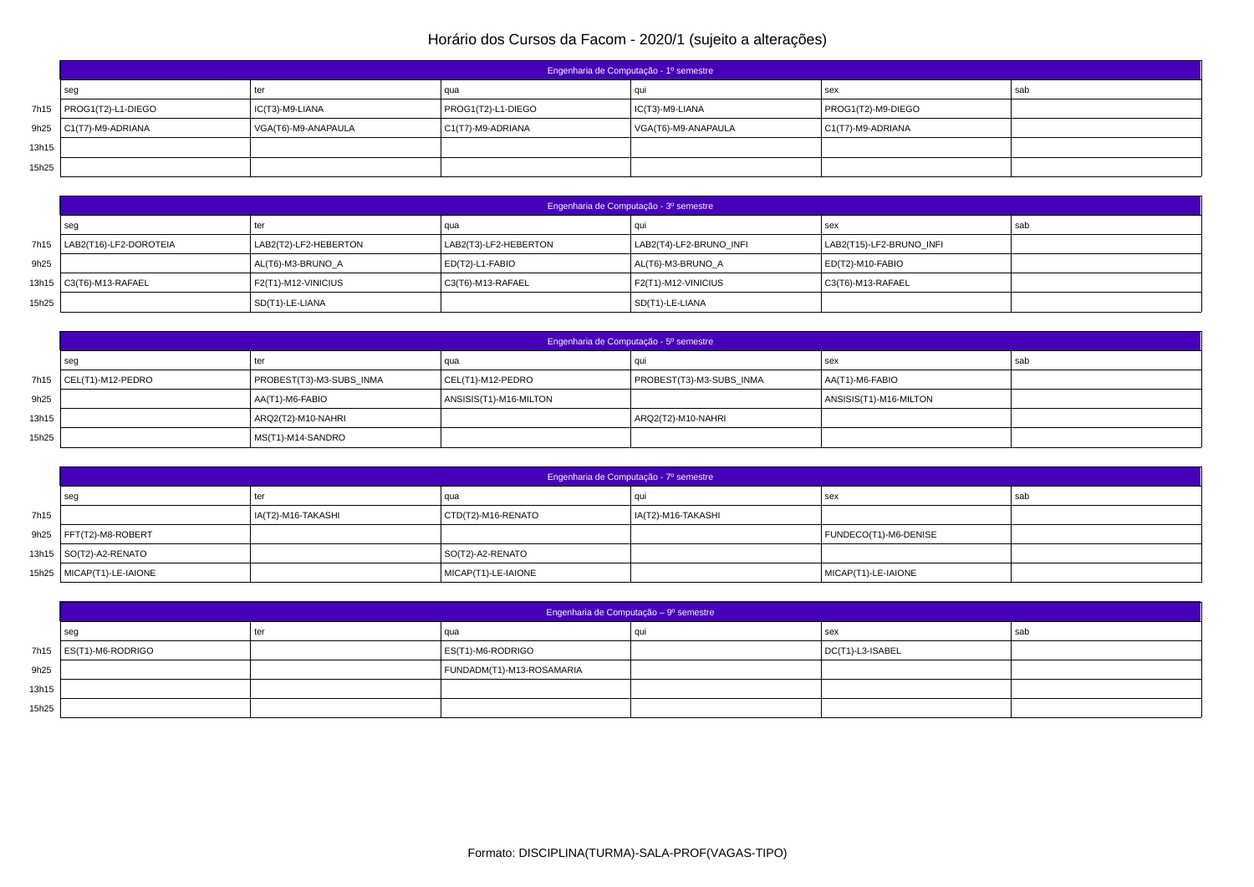|       | Engenharia de Computação - 1º semestre |                     |                    |                     |                      |     |  |  |
|-------|----------------------------------------|---------------------|--------------------|---------------------|----------------------|-----|--|--|
|       | l seg                                  | ter                 | qua                |                     | sex                  | sab |  |  |
|       | 7h15   PROG1(T2)-L1-DIEGO              | IC(T3)-M9-LIANA     | PROG1(T2)-L1-DIEGO | IC(T3)-M9-LIANA     | PROG1(T2)-M9-DIEGO   |     |  |  |
|       | $9h25$ $C1(T7)-M9-ADRIANA$             | VGA(T6)-M9-ANAPAULA | C1(T7)-M9-ADRIANA  | VGA(T6)-M9-ANAPAULA | $C1(T7)$ -M9-ADRIANA |     |  |  |
| 13h15 |                                        |                     |                    |                     |                      |     |  |  |
| 15h25 |                                        |                     |                    |                     |                      |     |  |  |

|       | Engenharia de Computação - 3º semestre |                       |                       |                         |                          |     |  |  |
|-------|----------------------------------------|-----------------------|-----------------------|-------------------------|--------------------------|-----|--|--|
|       | seg                                    | ter                   | l qua                 |                         | sex                      | sab |  |  |
|       | 7h15   LAB2(T16)-LF2-DOROTEIA          | LAB2(T2)-LF2-HEBERTON | LAB2(T3)-LF2-HEBERTON | LAB2(T4)-LF2-BRUNO INFI | LAB2(T15)-LF2-BRUNO INFI |     |  |  |
| 9h25  |                                        | AL(T6)-M3-BRUNO A     | $ ED(T2)-L1-FABIO $   | AL(T6)-M3-BRUNO A       | ED(T2)-M10-FABIO         |     |  |  |
|       | 13h15   C3(T6)-M13-RAFAEL              | F2(T1)-M12-VINICIUS   | C3(T6)-M13-RAFAEL     | F2(T1)-M12-VINICIUS     | C3(T6)-M13-RAFAEL        |     |  |  |
| 15h25 |                                        | SD(T1)-LE-LIANA       |                       | SD(T1)-LE-LIANA         |                          |     |  |  |

|       | Engenharia de Computação - 5º semestre |                          |                        |                          |                        |     |  |  |
|-------|----------------------------------------|--------------------------|------------------------|--------------------------|------------------------|-----|--|--|
|       | seg                                    | ter                      | qua                    |                          | ' sex                  | sab |  |  |
|       | 7h15 CEL(T1)-M12-PEDRO                 | PROBEST(T3)-M3-SUBS INMA | CEL(T1)-M12-PEDRO      | PROBEST(T3)-M3-SUBS INMA | AA(T1)-M6-FABIO        |     |  |  |
| 9h25  |                                        | AA(T1)-M6-FABIO          | ANSISIS(T1)-M16-MILTON |                          | ANSISIS(T1)-M16-MILTON |     |  |  |
| 13h15 |                                        | ARQ2(T2)-M10-NAHRI       |                        | ARQ2(T2)-M10-NAHRI       |                        |     |  |  |
| 15h25 |                                        | MS(T1)-M14-SANDRO        |                        |                          |                        |     |  |  |

|      | Engenharia de Computação - 7º semestre |                    |                     |                    |                       |     |  |
|------|----------------------------------------|--------------------|---------------------|--------------------|-----------------------|-----|--|
|      | seg                                    | ter                | l qua               |                    | sex                   | sab |  |
| 7h15 |                                        | IA(T2)-M16-TAKASHI | CTD(T2)-M16-RENATO  | IA(T2)-M16-TAKASHI |                       |     |  |
|      | 9h25 $ $ FFT(T2)-M8-ROBERT             |                    |                     |                    | FUNDECO(T1)-M6-DENISE |     |  |
|      | 13h15   SO(T2)-A2-RENATO               |                    | SO(T2)-A2-RENATO    |                    |                       |     |  |
|      | 15h25   MICAP(T1)-LE-IAIONE            |                    | MICAP(T1)-LE-IAIONE |                    | MICAP(T1)-LE-IAIONE   |     |  |

|       | Engenharia de Computação - 9º semestre |     |                           |  |                          |     |  |  |
|-------|----------------------------------------|-----|---------------------------|--|--------------------------|-----|--|--|
|       | seg                                    | ter | qua                       |  | sex                      | sab |  |  |
|       | 7h15 $\vert$ ES(T1)-M6-RODRIGO         |     | ES(T1)-M6-RODRIGO         |  | $\vert$ DC(T1)-L3-ISABEL |     |  |  |
| 9h25  |                                        |     | FUNDADM(T1)-M13-ROSAMARIA |  |                          |     |  |  |
| 13h15 |                                        |     |                           |  |                          |     |  |  |
| 15h25 |                                        |     |                           |  |                          |     |  |  |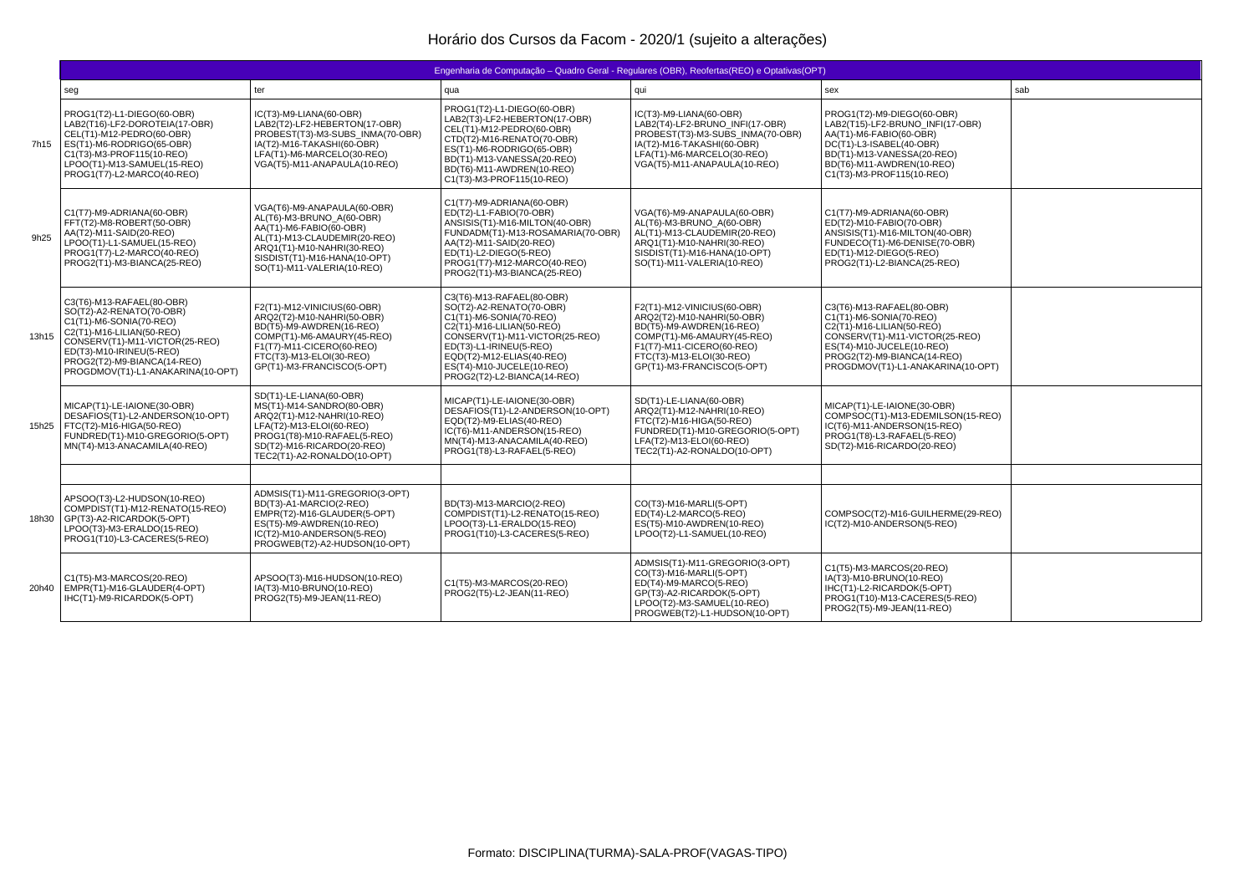|       | Engenharia de Computação – Quadro Geral - Regulares (OBR), Reofertas(REO) e Optativas(OPT)                                                                                                                                                      |                                                                                                                                                                                                                 |                                                                                                                                                                                                                                                                     |                                                                                                                                                                                                            |                                                                                                                                                                                                                      |     |  |  |
|-------|-------------------------------------------------------------------------------------------------------------------------------------------------------------------------------------------------------------------------------------------------|-----------------------------------------------------------------------------------------------------------------------------------------------------------------------------------------------------------------|---------------------------------------------------------------------------------------------------------------------------------------------------------------------------------------------------------------------------------------------------------------------|------------------------------------------------------------------------------------------------------------------------------------------------------------------------------------------------------------|----------------------------------------------------------------------------------------------------------------------------------------------------------------------------------------------------------------------|-----|--|--|
|       | seg                                                                                                                                                                                                                                             | ter                                                                                                                                                                                                             | qua                                                                                                                                                                                                                                                                 | qui                                                                                                                                                                                                        | sex                                                                                                                                                                                                                  | sab |  |  |
| 7h15  | PROG1(T2)-L1-DIEGO(60-OBR)<br>LAB2(T16)-LF2-DOROTEIA(17-OBR)<br>CEL(T1)-M12-PEDRO(60-OBR)<br>ES(T1)-M6-RODRIGO(65-OBR)<br>C1(T3)-M3-PROF115(10-REO)<br>LPOO(T1)-M13-SAMUEL(15-REO)<br>PROG1(T7)-L2-MARCO(40-REO)                                | IC(T3)-M9-LIANA(60-OBR)<br>LAB2(T2)-LF2-HEBERTON(17-OBR)<br>PROBEST(T3)-M3-SUBS INMA(70-OBR)<br>IA(T2)-M16-TAKASHI(60-OBR)<br>LFA(T1)-M6-MARCELO(30-REO)<br>VGA(T5)-M11-ANAPAULA(10-REO)                        | PROG1(T2)-L1-DIEGO(60-OBR)<br>LAB2(T3)-LF2-HEBERTON(17-OBR)<br>CEL(T1)-M12-PEDRO(60-OBR)<br>CTD(T2)-M16-RENATO(70-OBR)<br>ES(T1)-M6-RODRIGO(65-OBR)<br>BD(T1)-M13-VANESSA(20-REO)<br>BD(T6)-M11-AWDREN(10-REO)<br>C1(T3)-M3-PROF115(10-REO)                         | IC(T3)-M9-LIANA(60-OBR)<br>LAB2(T4)-LF2-BRUNO INFI(17-OBR)<br>PROBEST(T3)-M3-SUBS INMA(70-OBR)<br>IA(T2)-M16-TAKASHI(60-OBR)<br>LFA(T1)-M6-MARCELO(30-REO)<br>VGA(T5)-M11-ANAPAULA(10-REO)                 | PROG1(T2)-M9-DIEGO(60-OBR)<br>LAB2(T15)-LF2-BRUNO INFI(17-OBR)<br>AA(T1)-M6-FABIO(60-OBR)<br>DC(T1)-L3-ISABEL(40-OBR)<br>BD(T1)-M13-VANESSA(20-REO)<br>BD(T6)-M11-AWDREN(10-REO)<br>C1(T3)-M3-PROF115(10-REO)        |     |  |  |
| 9h25  | C1(T7)-M9-ADRIANA(60-OBR)<br>FFT(T2)-M8-ROBERT(50-OBR)<br>AA(T2)-M11-SAID(20-REO)<br>LPOO(T1)-L1-SAMUEL(15-REO)<br>PROG1(T7)-L2-MARCO(40-REO)<br>PROG2(T1)-M3-BIANCA(25-REO)                                                                    | VGA(T6)-M9-ANAPAULA(60-OBR)<br>AL(T6)-M3-BRUNO A(60-OBR)<br>AA(T1)-M6-FABIO(60-OBR)<br>AL(T1)-M13-CLAUDEMIR(20-REO)<br>ARO1(T1)-M10-NAHRI(30-REO)<br>SISDIST(T1)-M16-HANA(10-OPT)<br>SO(T1)-M11-VALERIA(10-REO) | C1(T7)-M9-ADRIANA(60-OBR)<br>ED(T2)-L1-FABIO(70-OBR)<br>ANSISIS(T1)-M16-MILTON(40-OBR)<br>FUNDADM(T1)-M13-ROSAMARIA(70-OBR)<br>AA(T2)-M11-SAID(20-REO)<br>ED(T1)-L2-DIEGO(5-REO)<br>PROG1(T7)-M12-MARCO(40-REO)<br>PROG2(T1)-M3-BIANCA(25-REO)                      | VGA(T6)-M9-ANAPAULA(60-OBR)<br>AL(T6)-M3-BRUNO A(60-OBR)<br>AL(T1)-M13-CLAUDEMIR(20-REO)<br>ARO1(T1)-M10-NAHRI(30-REO)<br>SISDIST(T1)-M16-HANA(10-OPT)<br>SO(T1)-M11-VALERIA(10-REO)                       | C1(T7)-M9-ADRIANA(60-OBR)<br>ED(T2)-M10-FABIO(70-OBR)<br>ANSISIS(T1)-M16-MILTON(40-OBR)<br>FUNDECO(T1)-M6-DENISE(70-OBR)<br>ED(T1)-M12-DIEGO(5-REO)<br>PROG2(T1)-L2-BIANCA(25-REO)                                   |     |  |  |
| 13h15 | C3(T6)-M13-RAFAEL(80-OBR)<br>SO(T2)-A2-RENATO(70-OBR)<br>C1(T1)-M6-SONIA(70-REO)<br>C2(T1)-M16-LILIAN(50-REO)<br>CONSERV(T1)-M11-VICTOR(25-REO)<br>ED(T3)-M10-IRINEU(5-REO)<br>PROG2(T2)-M9-BIANCA(14-REO)<br>PROGDMOV(T1)-L1-ANAKARINA(10-OPT) | F2(T1)-M12-VINICIUS(60-OBR)<br>ARQ2(T2)-M10-NAHRI(50-OBR)<br>BD(T5)-M9-AWDREN(16-REO)<br>COMP(T1)-M6-AMAURY(45-REO)<br>F1(T7)-M11-CICERO(60-REO)<br>FTC(T3)-M13-ELOI(30-REO)<br>GP(T1)-M3-FRANCISCO(5-OPT)      | C3(T6)-M13-RAFAEL(80-OBR)<br>SO(T2)-A2-RENATO(70-OBR)<br>C1(T1)-M6-SONIA(70-REO)<br>C2(T1)-M16-LILIAN(50-REO)<br>CONSERV(T1)-M11-VICTOR(25-REO)<br>ED(T3)-L1-IRINEU(5-REO)<br>EOD(T2)-M12-ELIAS(40-REO)<br>ES(T4)-M10-JUCELE(10-REO)<br>PROG2(T2)-L2-BIANCA(14-REO) | F2(T1)-M12-VINICIUS(60-OBR)<br>ARQ2(T2)-M10-NAHRI(50-OBR)<br>BD(T5)-M9-AWDREN(16-REO)<br>COMP(T1)-M6-AMAURY(45-REO)<br>F1(T7)-M11-CICERO(60-REO)<br>FTC(T3)-M13-ELOI(30-REO)<br>GP(T1)-M3-FRANCISCO(5-OPT) | C3(T6)-M13-RAFAEL(80-OBR)<br>C1(T1)-M6-SONIA(70-REO)<br>C2(T1)-M16-LILIAN(50-REO)<br>CONSERV(T1)-M11-VICTOR(25-REO)<br>ES(T4)-M10-JUCELE(10-REO)<br>PROG2(T2)-M9-BIANCA(14-REO)<br>PROGDMOV(T1)-L1-ANAKARINA(10-OPT) |     |  |  |
|       | MICAP(T1)-LE-IAIONE(30-OBR)<br>DESAFIOS(T1)-L2-ANDERSON(10-OPT)<br>15h25   FTC(T2)-M16-HIGA(50-REO)<br>FUNDRED(T1)-M10-GREGORIO(5-OPT)<br>MN(T4)-M13-ANACAMILA(40-REO)                                                                          | SD(T1)-LE-LIANA(60-OBR)<br>MS(T1)-M14-SANDRO(80-OBR)<br>ARQ2(T1)-M12-NAHRI(10-REO)<br>LFA(T2)-M13-ELOI(60-REO)<br>PROG1(T8)-M10-RAFAEL(5-REO)<br>SD(T2)-M16-RICARDO(20-REO)<br>TEC2(T1)-A2-RONALDO(10-OPT)      | MICAP(T1)-LE-IAIONE(30-OBR)<br>DESAFIOS(T1)-L2-ANDERSON(10-OPT)<br>EOD(T2)-M9-ELIAS(40-REO)<br>IC(T6)-M11-ANDERSON(15-REO)<br>MN(T4)-M13-ANACAMILA(40-REO)<br>PROG1(T8)-L3-RAFAEL(5-REO)                                                                            | SD(T1)-LE-LIANA(60-OBR)<br>ARQ2(T1)-M12-NAHRI(10-REO)<br>FTC(T2)-M16-HIGA(50-REO)<br>FUNDRED(T1)-M10-GREGORIO(5-OPT)<br>LFA(T2)-M13-ELOI(60-REO)<br>TEC2(T1)-A2-RONALDO(10-OPT)                            | MICAP(T1)-LE-IAIONE(30-OBR)<br>COMPSOC(T1)-M13-EDEMILSON(15-REO)<br>IC(T6)-M11-ANDERSON(15-REO)<br>PROG1(T8)-L3-RAFAEL(5-REO)<br>SD(T2)-M16-RICARDO(20-REO)                                                          |     |  |  |
|       |                                                                                                                                                                                                                                                 |                                                                                                                                                                                                                 |                                                                                                                                                                                                                                                                     |                                                                                                                                                                                                            |                                                                                                                                                                                                                      |     |  |  |
| 18h30 | APSOO(T3)-L2-HUDSON(10-REO)<br>COMPDIST(T1)-M12-RENATO(15-REO)<br>GP(T3)-A2-RICARDOK(5-OPT)<br>LPOO(T3)-M3-ERALDO(15-REO)<br>PROG1(T10)-L3-CACERES(5-REO)                                                                                       | ADMSIS(T1)-M11-GREGORIO(3-OPT)<br>BD(T3)-A1-MARCIO(2-REO)<br>EMPR(T2)-M16-GLAUDER(5-OPT)<br>ES(T5)-M9-AWDREN(10-REO)<br>IC(T2)-M10-ANDERSON(5-REO)<br>PROGWEB(T2)-A2-HUDSON(10-OPT)                             | BD(T3)-M13-MARCIO(2-REO)<br>COMPDIST(T1)-L2-RENATO(15-REO)<br>LPOO(T3)-L1-ERALDO(15-REO)<br>PROG1(T10)-L3-CACERES(5-REO)                                                                                                                                            | CO(T3)-M16-MARLI(5-OPT)<br>ED(T4)-L2-MARCO(5-REO)<br>ES(T5)-M10-AWDREN(10-REO)<br>LPOO(T2)-L1-SAMUEL(10-REO)                                                                                               | COMPSOC(T2)-M16-GUILHERME(29-REO)<br>IC(T2)-M10-ANDERSON(5-REO)                                                                                                                                                      |     |  |  |
| 20h40 | C1(T5)-M3-MARCOS(20-REO)<br>EMPR(T1)-M16-GLAUDER(4-OPT)<br>IHC(T1)-M9-RICARDOK(5-OPT)                                                                                                                                                           | APSOO(T3)-M16-HUDSON(10-REO)<br>IA(T3)-M10-BRUNO(10-REO)<br>PROG2(T5)-M9-JEAN(11-REO)                                                                                                                           | C1(T5)-M3-MARCOS(20-REO)<br>PROG2(T5)-L2-JEAN(11-REO)                                                                                                                                                                                                               | ADMSIS(T1)-M11-GREGORIO(3-OPT)<br>CO(T3)-M16-MARLI(5-OPT)<br>ED(T4)-M9-MARCO(5-REO)<br>GP(T3)-A2-RICARDOK(5-OPT)<br>LPOO(T2)-M3-SAMUEL(10-REO)<br>PROGWEB(T2)-L1-HUDSON(10-OPT)                            | C1(T5)-M3-MARCOS(20-REO)<br>IA(T3)-M10-BRUNO(10-REO)<br>IHC(T1)-L2-RICARDOK(5-OPT)<br>PROG1(T10)-M13-CACERES(5-REO)<br>PROG2(T5)-M9-JEAN(11-REO)                                                                     |     |  |  |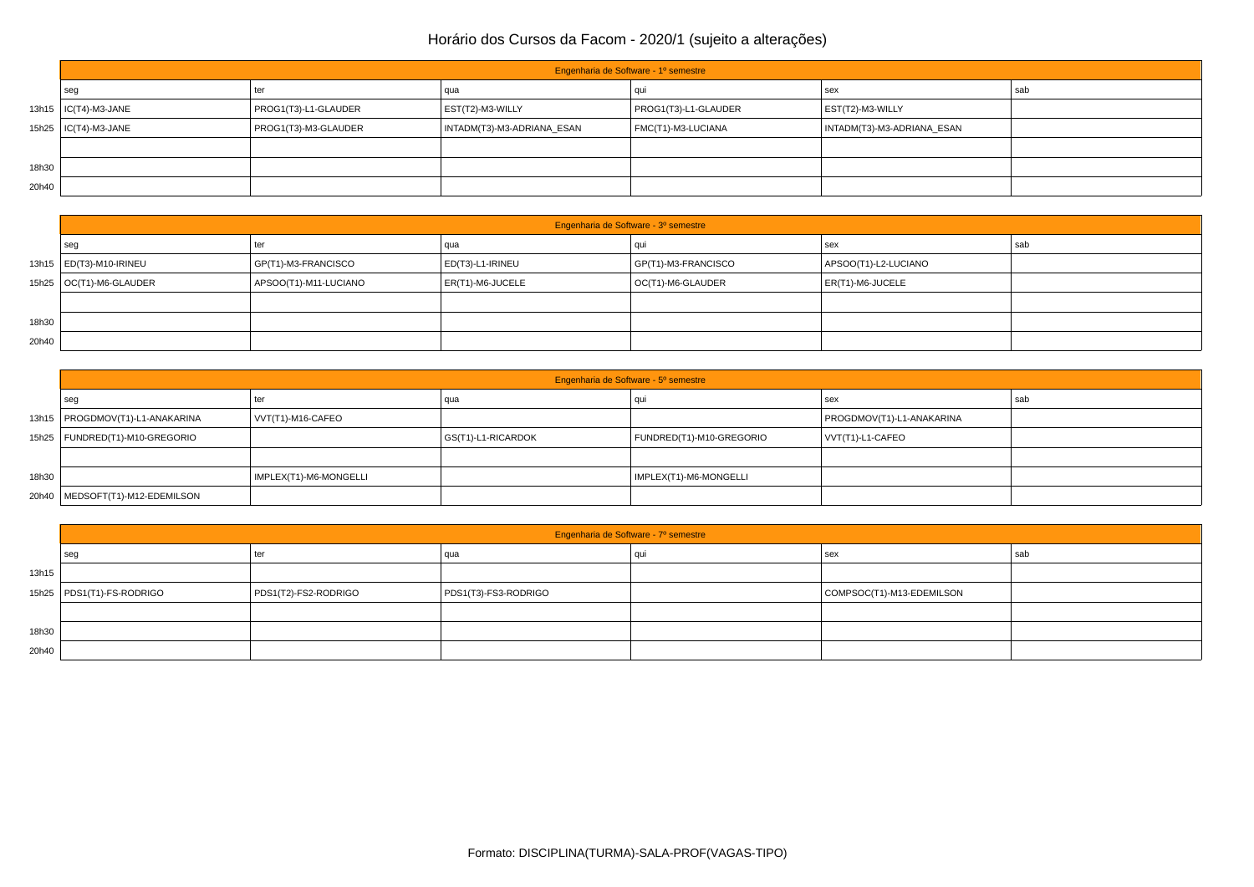|       | Engenharia de Software - 1º semestre |                      |                            |                      |                            |     |  |  |
|-------|--------------------------------------|----------------------|----------------------------|----------------------|----------------------------|-----|--|--|
|       | seg                                  | ter                  | qua                        |                      | sex                        | sab |  |  |
|       | 13h15   IC(T4)-M3-JANE               | PROG1(T3)-L1-GLAUDER | EST(T2)-M3-WILLY           | PROG1(T3)-L1-GLAUDER | EST(T2)-M3-WILLY           |     |  |  |
|       | 15h25   IC(T4)-M3-JANE               | PROG1(T3)-M3-GLAUDER | INTADM(T3)-M3-ADRIANA_ESAN | FMC(T1)-M3-LUCIANA   | INTADM(T3)-M3-ADRIANA ESAN |     |  |  |
|       |                                      |                      |                            |                      |                            |     |  |  |
| 18h30 |                                      |                      |                            |                      |                            |     |  |  |
| 20h40 |                                      |                      |                            |                      |                            |     |  |  |

|       | Engenharia de Software - 3º semestre |                       |                  |                     |                      |     |  |  |
|-------|--------------------------------------|-----------------------|------------------|---------------------|----------------------|-----|--|--|
|       | seg                                  | ter                   | qua              | au                  | sex                  | sab |  |  |
|       | 13h15   ED(T3)-M10-IRINEU            | GP(T1)-M3-FRANCISCO   | ED(T3)-L1-IRINEU | GP(T1)-M3-FRANCISCO | APSOO(T1)-L2-LUCIANO |     |  |  |
|       | 15h25   OC(T1)-M6-GLAUDER            | APSOO(T1)-M11-LUCIANO | ER(T1)-M6-JUCELE | OC(T1)-M6-GLAUDER   | ER(T1)-M6-JUCELE     |     |  |  |
|       |                                      |                       |                  |                     |                      |     |  |  |
| 18h30 |                                      |                       |                  |                     |                      |     |  |  |
| 20h40 |                                      |                       |                  |                     |                      |     |  |  |

|       | Engenharia de Software - 5º semestre |                        |                    |                          |                           |     |  |  |
|-------|--------------------------------------|------------------------|--------------------|--------------------------|---------------------------|-----|--|--|
|       | sec                                  | ter                    | qua                |                          | sex                       | sab |  |  |
|       | 13h15   PROGDMOV(T1)-L1-ANAKARINA    | VVT(T1)-M16-CAFEO      |                    |                          | PROGDMOV(T1)-L1-ANAKARINA |     |  |  |
|       | 15h25   FUNDRED(T1)-M10-GREGORIO     |                        | GS(T1)-L1-RICARDOK | FUNDRED(T1)-M10-GREGORIO | VVT(T1)-L1-CAFEO          |     |  |  |
|       |                                      |                        |                    |                          |                           |     |  |  |
| 18h30 |                                      | IMPLEX(T1)-M6-MONGELLI |                    | IMPLEX(T1)-M6-MONGELLI   |                           |     |  |  |
|       | 20h40   MEDSOFT(T1)-M12-EDEMILSON    |                        |                    |                          |                           |     |  |  |

|       | Engenharia de Software - 7º semestre |                      |                      |  |                           |     |  |  |
|-------|--------------------------------------|----------------------|----------------------|--|---------------------------|-----|--|--|
|       | seg                                  | ter                  | qua                  |  | sex                       | sab |  |  |
| 13h15 |                                      |                      |                      |  |                           |     |  |  |
|       | 15h25   PDS1(T1)-FS-RODRIGO          | PDS1(T2)-FS2-RODRIGO | PDS1(T3)-FS3-RODRIGO |  | COMPSOC(T1)-M13-EDEMILSON |     |  |  |
|       |                                      |                      |                      |  |                           |     |  |  |
| 18h30 |                                      |                      |                      |  |                           |     |  |  |
| 20h40 |                                      |                      |                      |  |                           |     |  |  |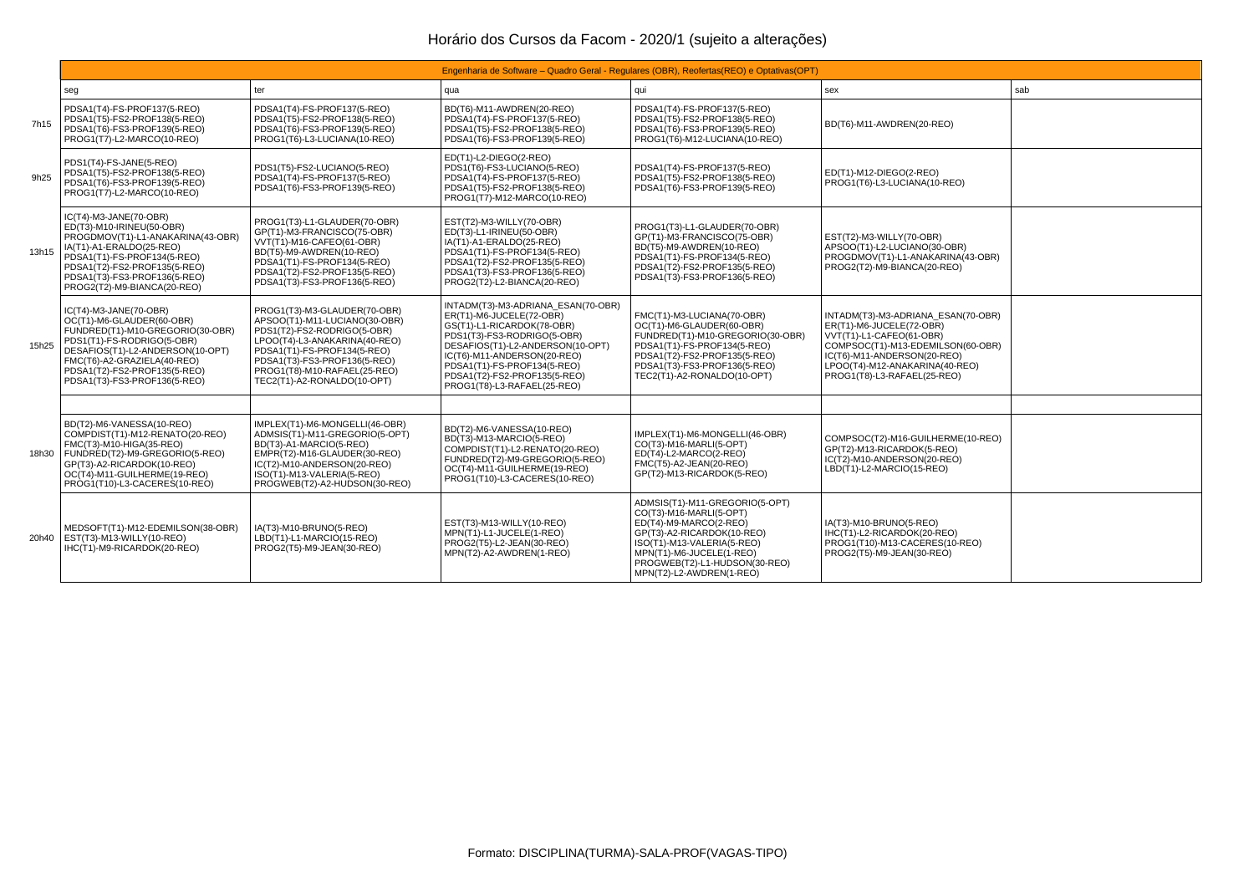|       | Engenharia de Software – Quadro Geral - Regulares (OBR), Reofertas (REO) e Optativas (OPT)                                                                                                                                                               |                                                                                                                                                                                                                                                             |                                                                                                                                                                                                                                                                                              |                                                                                                                                                                                                                                          |                                                                                                                                                                                                                                 |  |  |  |
|-------|----------------------------------------------------------------------------------------------------------------------------------------------------------------------------------------------------------------------------------------------------------|-------------------------------------------------------------------------------------------------------------------------------------------------------------------------------------------------------------------------------------------------------------|----------------------------------------------------------------------------------------------------------------------------------------------------------------------------------------------------------------------------------------------------------------------------------------------|------------------------------------------------------------------------------------------------------------------------------------------------------------------------------------------------------------------------------------------|---------------------------------------------------------------------------------------------------------------------------------------------------------------------------------------------------------------------------------|--|--|--|
|       | seg                                                                                                                                                                                                                                                      | ter                                                                                                                                                                                                                                                         | qua                                                                                                                                                                                                                                                                                          | qui                                                                                                                                                                                                                                      | sab<br>sex                                                                                                                                                                                                                      |  |  |  |
| 7h15  | PDSA1(T4)-FS-PROF137(5-REO)<br>PDSA1(T5)-FS2-PROF138(5-REO)<br>PDSA1(T6)-FS3-PROF139(5-REO)<br>PROG1(T7)-L2-MARCO(10-REO)                                                                                                                                | PDSA1(T4)-FS-PROF137(5-REO)<br>PDSA1(T5)-FS2-PROF138(5-REO)<br>PDSA1(T6)-FS3-PROF139(5-REO)<br>PROG1(T6)-L3-LUCIANA(10-REO)                                                                                                                                 | BD(T6)-M11-AWDREN(20-REO)<br>PDSA1(T4)-FS-PROF137(5-REO)<br>PDSA1(T5)-FS2-PROF138(5-REO)<br>PDSA1(T6)-FS3-PROF139(5-REO)                                                                                                                                                                     | PDSA1(T4)-FS-PROF137(5-REO)<br>PDSA1(T5)-FS2-PROF138(5-REO)<br>PDSA1(T6)-FS3-PROF139(5-REO)<br>PROG1(T6)-M12-LUCIANA(10-REO)                                                                                                             | BD(T6)-M11-AWDREN(20-REO)                                                                                                                                                                                                       |  |  |  |
| 9h25  | PDS1(T4)-FS-JANE(5-REO)<br>PDSA1(T5)-FS2-PROF138(5-REO)<br>PDSA1(T6)-FS3-PROF139(5-REO)<br>PROG1(T7)-L2-MARCO(10-REO)                                                                                                                                    | PDS1(T5)-FS2-LUCIANO(5-REO)<br>PDSA1(T4)-FS-PROF137(5-REO)<br>PDSA1(T6)-FS3-PROF139(5-REO)                                                                                                                                                                  | ED(T1)-L2-DIEGO(2-REO)<br>PDS1(T6)-FS3-LUCIANO(5-REO)<br>PDSA1(T4)-FS-PROF137(5-REO)<br>PDSA1(T5)-FS2-PROF138(5-REO)<br>PROG1(T7)-M12-MARCO(10-REO)                                                                                                                                          | PDSA1(T4)-FS-PROF137(5-REO)<br>PDSA1(T5)-FS2-PROF138(5-REO)<br>PDSA1(T6)-FS3-PROF139(5-REO)                                                                                                                                              | ED(T1)-M12-DIEGO(2-REO)<br>PROG1(T6)-L3-LUCIANA(10-REO)                                                                                                                                                                         |  |  |  |
| 13h15 | IC(T4)-M3-JANE(70-OBR)<br>ED(T3)-M10-IRINEU(50-OBR)<br>PROGDMOV(T1)-L1-ANAKARINA(43-OBR)<br>IA(T1)-A1-ERALDO(25-REO)<br>PDSA1(T1)-FS-PROF134(5-REO)<br>PDSA1(T2)-FS2-PROF135(5-REO)<br>PDSA1(T3)-FS3-PROF136(5-REO)<br>PROG2(T2)-M9-BIANCA(20-REO)       | PROG1(T3)-L1-GLAUDER(70-OBR)<br>GP(T1)-M3-FRANCISCO(75-OBR)<br>VVT(T1)-M16-CAFEO(61-OBR)<br>BD(T5)-M9-AWDREN(10-REO)<br>PDSA1(T1)-FS-PROF134(5-REO)<br>PDSA1(T2)-FS2-PROF135(5-REO)<br>PDSA1(T3)-FS3-PROF136(5-REO)                                         | EST(T2)-M3-WILLY(70-OBR)<br>ED(T3)-L1-IRINEU(50-OBR)<br>IA(T1)-A1-ERALDO(25-REO)<br>PDSA1(T1)-FS-PROF134(5-REO)<br>PDSA1(T2)-FS2-PROF135(5-REO)<br>PDSA1(T3)-FS3-PROF136(5-REO)<br>PROG2(T2)-L2-BIANCA(20-REO)                                                                               | PROG1(T3)-L1-GLAUDER(70-OBR)<br>GP(T1)-M3-FRANCISCO(75-OBR)<br>BD(T5)-M9-AWDREN(10-REO)<br>PDSA1(T1)-FS-PROF134(5-REO)<br>PDSA1(T2)-FS2-PROF135(5-REO)<br>PDSA1(T3)-FS3-PROF136(5-REO)                                                   | EST(T2)-M3-WILLY(70-OBR)<br>APSOO(T1)-L2-LUCIANO(30-OBR)<br>PROGDMOV(T1)-L1-ANAKARINA(43-OBR)<br>PROG2(T2)-M9-BIANCA(20-REO)                                                                                                    |  |  |  |
| 15h25 | IC(T4)-M3-JANE(70-OBR)<br>OC(T1)-M6-GLAUDER(60-OBR)<br>FUNDRED(T1)-M10-GREGORIO(30-OBR)<br>PDS1(T1)-FS-RODRIGO(5-OBR)<br>DESAFIOS(T1)-L2-ANDERSON(10-OPT)<br>FMC(T6)-A2-GRAZIELA(40-REO)<br>PDSA1(T2)-FS2-PROF135(5-REO)<br>PDSA1(T3)-FS3-PROF136(5-REO) | PROG1(T3)-M3-GLAUDER(70-OBR)<br>APSOO(T1)-M11-LUCIANO(30-OBR)<br>PDS1(T2)-FS2-RODRIGO(5-OBR)<br>LPOO(T4)-L3-ANAKARINA(40-REO)<br>PDSA1(T1)-FS-PROF134(5-REO)<br>PDSA1(T3)-FS3-PROF136(5-REO)<br>PROG1(T8)-M10-RAFAEL(25-REO)<br>TEC2(T1)-A2-RONALDO(10-OPT) | INTADM(T3)-M3-ADRIANA ESAN(70-OBR)<br>ER(T1)-M6-JUCELE(72-OBR)<br>GS(T1)-L1-RICARDOK(78-OBR)<br>PDS1(T3)-FS3-RODRIGO(5-OBR)<br>DESAFIOS(T1)-L2-ANDERSON(10-OPT)<br>IC(T6)-M11-ANDERSON(20-REO)<br>PDSA1(T1)-FS-PROF134(5-REO)<br>PDSA1(T2)-FS2-PROF135(5-REO)<br>PROG1(T8)-L3-RAFAEL(25-REO) | FMC(T1)-M3-LUCIANA(70-OBR)<br>OC(T1)-M6-GLAUDER(60-OBR)<br>FUNDRED(T1)-M10-GREGORIO(30-OBR)<br>PDSA1(T1)-FS-PROF134(5-REO)<br>PDSA1(T2)-FS2-PROF135(5-REO)<br>PDSA1(T3)-FS3-PROF136(5-REO)<br>TEC2(T1)-A2-RONALDO(10-OPT)                | INTADM(T3)-M3-ADRIANA ESAN(70-OBR)<br>ER(T1)-M6-JUCELE(72-OBR)<br>VVT(T1)-L1-CAFEO(61-OBR)<br>COMPSOC(T1)-M13-EDEMILSON(60-OBR)<br>IC(T6)-M11-ANDERSON(20-REO)<br>LPOO(T4)-M12-ANAKARINA(40-REO)<br>PROG1(T8)-L3-RAFAEL(25-REO) |  |  |  |
|       |                                                                                                                                                                                                                                                          |                                                                                                                                                                                                                                                             |                                                                                                                                                                                                                                                                                              |                                                                                                                                                                                                                                          |                                                                                                                                                                                                                                 |  |  |  |
|       | BD(T2)-M6-VANESSA(10-REO)<br>COMPDIST(T1)-M12-RENATO(20-REO)<br>FMC(T3)-M10-HIGA(35-REO)<br>18h30   FUNDRED(T2)-M9-GREGORIO(5-REO)<br>GP(T3)-A2-RICARDOK(10-REO)<br>OC(T4)-M11-GUILHERME(19-REO)<br>PROG1(T10)-L3-CACERES(10-REO)                        | IMPLEX(T1)-M6-MONGELLI(46-OBR)<br>ADMSIS(T1)-M11-GREGORIO(5-OPT)<br>BD(T3)-A1-MARCIO(5-REO)<br>EMPR(T2)-M16-GLAUDER(30-REO)<br>IC(T2)-M10-ANDERSON(20-REO)<br>ISO(T1)-M13-VALERIA(5-REO)<br>PROGWEB(T2)-A2-HUDSON(30-REO)                                   | BD(T2)-M6-VANESSA(10-REO)<br>BD(T3)-M13-MARCIO(5-REO)<br>COMPDIST(T1)-L2-RENATO(20-REO)<br>FUNDRED(T2)-M9-GREGORIO(5-REO)<br>OC(T4)-M11-GUILHERME(19-REO)<br>PROG1(T10)-L3-CACERES(10-REO)                                                                                                   | IMPLEX(T1)-M6-MONGELLI(46-OBR)<br>CO(T3)-M16-MARLI(5-OPT)<br>ED(T4)-L2-MARCO(2-REO)<br>FMC(T5)-A2-JEAN(20-REO)<br>GP(T2)-M13-RICARDOK(5-REO)                                                                                             | COMPSOC(T2)-M16-GUILHERME(10-REO)<br>GP(T2)-M13-RICARDOK(5-REO)<br>IC(T2)-M10-ANDERSON(20-REO)<br>LBD(T1)-L2-MARCIO(15-REO)                                                                                                     |  |  |  |
|       | MEDSOFT(T1)-M12-EDEMILSON(38-OBR)<br>20h40   EST(T3)-M13-WILLY(10-REO)<br>IHC(T1)-M9-RICARDOK(20-REO)                                                                                                                                                    | IA(T3)-M10-BRUNO(5-REO)<br>LBD(T1)-L1-MARCIO(15-REO)<br>PROG2(T5)-M9-JEAN(30-REO)                                                                                                                                                                           | EST(T3)-M13-WILLY(10-REO)<br>MPN(T1)-L1-JUCELE(1-REO)<br>PROG2(T5)-L2-JEAN(30-REO)<br>MPN(T2)-A2-AWDREN(1-REO)                                                                                                                                                                               | ADMSIS(T1)-M11-GREGORIO(5-OPT)<br>CO(T3)-M16-MARLI(5-OPT)<br>ED(T4)-M9-MARCO(2-REO)<br>GP(T3)-A2-RICARDOK(10-REO)<br>ISO(T1)-M13-VALERIA(5-REO)<br>MPN(T1)-M6-JUCELE(1-REO)<br>PROGWEB(T2)-L1-HUDSON(30-REO)<br>MPN(T2)-L2-AWDREN(1-REO) | IA(T3)-M10-BRUNO(5-REO)<br>IHC(T1)-L2-RICARDOK(20-REO)<br>PROG1(T10)-M13-CACERES(10-REO)<br>PROG2(T5)-M9-JEAN(30-REO)                                                                                                           |  |  |  |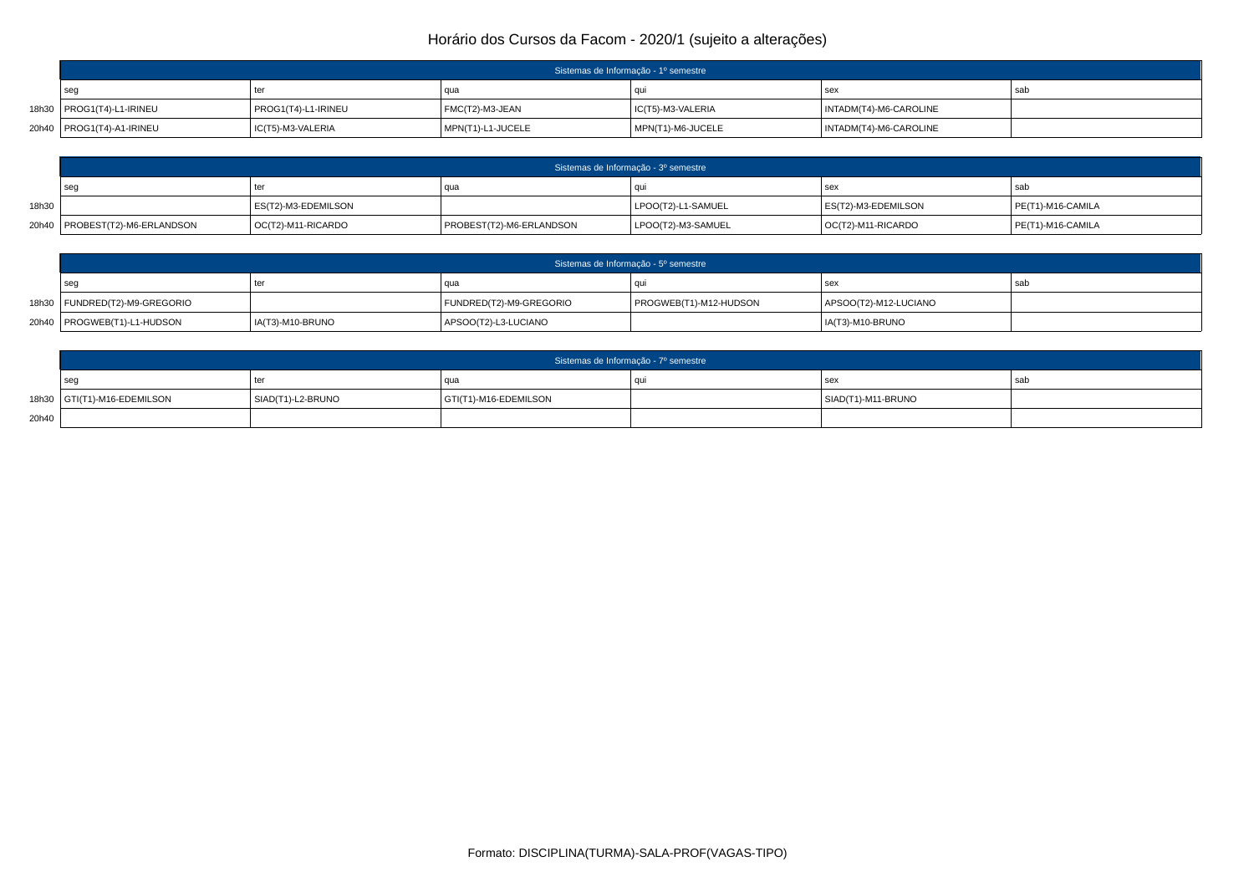| Sistemas de Informação - 1º semestre |                     |                     |                   |                        |     |  |
|--------------------------------------|---------------------|---------------------|-------------------|------------------------|-----|--|
| seo                                  | ter                 | l qua               |                   | sex                    | sab |  |
| 18h30   PROG1(T4)-L1-IRINEU          | PROG1(T4)-L1-IRINEU | $ $ FMC(T2)-M3-JEAN | IC(T5)-M3-VALERIA | INTADM(T4)-M6-CAROLINE |     |  |
| 20h40   PROG1(T4)-A1-IRINEU          | IC(T5)-M3-VALERIA   | MPN(T1)-L1-JUCELE   | MPN(T1)-M6-JUCELE | INTADM(T4)-M6-CAROLINE |     |  |

|       | Sistemas de Informação - 3º semestre |                     |                          |                    |                     |                      |  |  |
|-------|--------------------------------------|---------------------|--------------------------|--------------------|---------------------|----------------------|--|--|
|       | seq                                  | ter                 |                          |                    | sex                 | sab                  |  |  |
| 18h30 |                                      | ES(T2)-M3-EDEMILSON |                          | LPOO(T2)-L1-SAMUEL | ES(T2)-M3-EDEMILSON | $PE(T1)$ -M16-CAMILA |  |  |
|       | 20h40   PROBEST(T2)-M6-ERLANDSON     | OC(T2)-M11-RICARDO  | PROBEST(T2)-M6-ERLANDSON | LPOO(T2)-M3-SAMUEL | OC(T2)-M11-RICARDO  | PE(T1)-M16-CAMILA    |  |  |

| Sistemas de Informação - 5º semestre |                  |                         |                        |                       |       |  |  |
|--------------------------------------|------------------|-------------------------|------------------------|-----------------------|-------|--|--|
| sec                                  | tei              |                         |                        | sex                   | l sab |  |  |
| 18h30   FUNDRED(T2)-M9-GREGORIO      |                  | FUNDRED(T2)-M9-GREGORIO | PROGWEB(T1)-M12-HUDSON | APSOO(T2)-M12-LUCIANO |       |  |  |
| 20h40   PROGWEB(T1)-L1-HUDSON        | IA(T3)-M10-BRUNO | APSOO(T2)-L3-LUCIANO    |                        | IA(T3)-M10-BRUNO      |       |  |  |

|       | Sistemas de Informação - 7º semestre |                   |                       |     |                    |    |  |  |
|-------|--------------------------------------|-------------------|-----------------------|-----|--------------------|----|--|--|
|       | seo                                  | ∣ ter             | qua                   | ווח | se:                | sa |  |  |
|       | 18h30 GTI(T1)-M16-EDEMILSON          | SIAD(T1)-L2-BRUNO | GTI(T1)-M16-EDEMILSON |     | SIAD(T1)-M11-BRUNO |    |  |  |
| 20h40 |                                      |                   |                       |     |                    |    |  |  |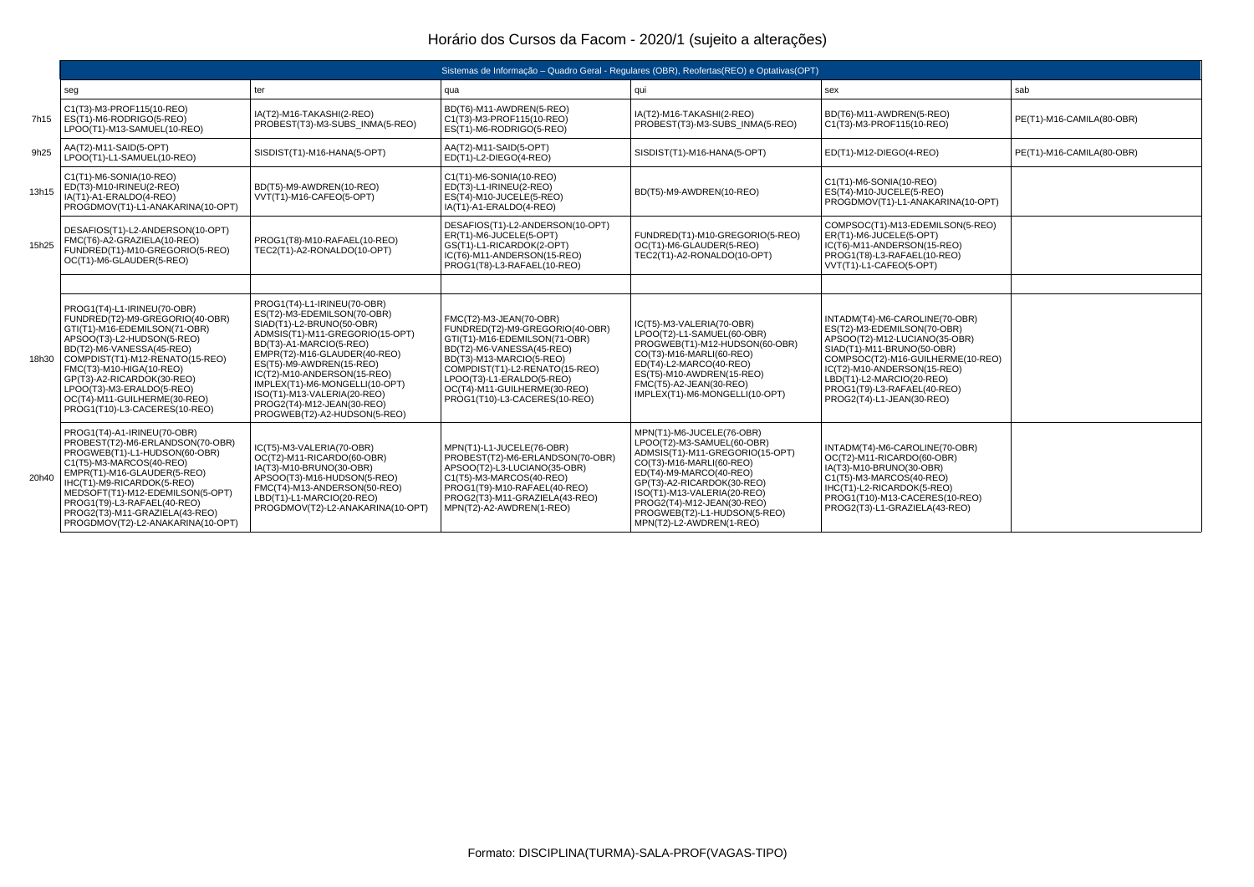|       | Sistemas de Informação - Quadro Geral - Regulares (OBR), Reofertas(REO) e Optativas(OPT)                                                                                                                                                                                                                                                                    |                                                                                                                                                                                                                                                                                                                                                                                 |                                                                                                                                                                                                                                                                                      |                                                                                                                                                                                                                                                                                                          |                                                                                                                                                                                                                                                                                           |                           |  |  |
|-------|-------------------------------------------------------------------------------------------------------------------------------------------------------------------------------------------------------------------------------------------------------------------------------------------------------------------------------------------------------------|---------------------------------------------------------------------------------------------------------------------------------------------------------------------------------------------------------------------------------------------------------------------------------------------------------------------------------------------------------------------------------|--------------------------------------------------------------------------------------------------------------------------------------------------------------------------------------------------------------------------------------------------------------------------------------|----------------------------------------------------------------------------------------------------------------------------------------------------------------------------------------------------------------------------------------------------------------------------------------------------------|-------------------------------------------------------------------------------------------------------------------------------------------------------------------------------------------------------------------------------------------------------------------------------------------|---------------------------|--|--|
|       | seg                                                                                                                                                                                                                                                                                                                                                         | ter                                                                                                                                                                                                                                                                                                                                                                             | qua                                                                                                                                                                                                                                                                                  | qui                                                                                                                                                                                                                                                                                                      | sex                                                                                                                                                                                                                                                                                       | sab                       |  |  |
| 7h15  | C1(T3)-M3-PROF115(10-REO)<br>ES(T1)-M6-RODRIGO(5-REO)<br>LPOO(T1)-M13-SAMUEL(10-REO)                                                                                                                                                                                                                                                                        | IA(T2)-M16-TAKASHI(2-REO)<br>PROBEST(T3)-M3-SUBS INMA(5-REO)                                                                                                                                                                                                                                                                                                                    | BD(T6)-M11-AWDREN(5-REO)<br>C1(T3)-M3-PROF115(10-REO)<br>ES(T1)-M6-RODRIGO(5-REO)                                                                                                                                                                                                    | IA(T2)-M16-TAKASHI(2-REO)<br>PROBEST(T3)-M3-SUBS INMA(5-REO)                                                                                                                                                                                                                                             | BD(T6)-M11-AWDREN(5-REO)<br>C1(T3)-M3-PROF115(10-REO)                                                                                                                                                                                                                                     | PE(T1)-M16-CAMILA(80-OBR) |  |  |
| 9h25  | AA(T2)-M11-SAID(5-OPT)<br>LPOO(T1)-L1-SAMUEL(10-REO)                                                                                                                                                                                                                                                                                                        | SISDIST(T1)-M16-HANA(5-OPT)                                                                                                                                                                                                                                                                                                                                                     | AA(T2)-M11-SAID(5-OPT)<br>ED(T1)-L2-DIEGO(4-REO)                                                                                                                                                                                                                                     | SISDIST(T1)-M16-HANA(5-OPT)                                                                                                                                                                                                                                                                              | ED(T1)-M12-DIEGO(4-REO)                                                                                                                                                                                                                                                                   | PE(T1)-M16-CAMILA(80-OBR) |  |  |
| 13h15 | C1(T1)-M6-SONIA(10-REO)<br>ED(T3)-M10-IRINEU(2-REO)<br>IA(T1)-A1-ERALDO(4-REO)<br>PROGDMOV(T1)-L1-ANAKARINA(10-OPT)                                                                                                                                                                                                                                         | BD(T5)-M9-AWDREN(10-REO)<br>VVT(T1)-M16-CAFEO(5-OPT)                                                                                                                                                                                                                                                                                                                            | C1(T1)-M6-SONIA(10-REO)<br>ED(T3)-L1-IRINEU(2-REO)<br>ES(T4)-M10-JUCELE(5-REO)<br>IA(T1)-A1-ERALDO(4-REO)                                                                                                                                                                            | BD(T5)-M9-AWDREN(10-REO)                                                                                                                                                                                                                                                                                 | C1(T1)-M6-SONIA(10-REO)<br>ES(T4)-M10-JUCELE(5-REO)<br>PROGDMOV(T1)-L1-ANAKARINA(10-OPT)                                                                                                                                                                                                  |                           |  |  |
| 15h25 | DESAFIOS(T1)-L2-ANDERSON(10-OPT)<br>FMC(T6)-A2-GRAZIELA(10-REO)<br>FUNDRED(T1)-M10-GREGORIO(5-REO)<br>OC(T1)-M6-GLAUDER(5-REO)                                                                                                                                                                                                                              | PROG1(T8)-M10-RAFAEL(10-REO)<br>TEC2(T1)-A2-RONALDO(10-OPT)                                                                                                                                                                                                                                                                                                                     | DESAFIOS(T1)-L2-ANDERSON(10-OPT)<br>ER(T1)-M6-JUCELE(5-OPT)<br>GS(T1)-L1-RICARDOK(2-OPT)<br>IC(T6)-M11-ANDERSON(15-REO)<br>PROG1(T8)-L3-RAFAEL(10-REO)                                                                                                                               | FUNDRED(T1)-M10-GREGORIO(5-REO)<br>OC(T1)-M6-GLAUDER(5-REO)<br>TEC2(T1)-A2-RONALDO(10-OPT)                                                                                                                                                                                                               | COMPSOC(T1)-M13-EDEMILSON(5-REO)<br>ER(T1)-M6-JUCELE(5-OPT)<br>IC(T6)-M11-ANDERSON(15-REO)<br>PROG1(T8)-L3-RAFAEL(10-REO)<br>VVT(T1)-L1-CAFEO(5-OPT)                                                                                                                                      |                           |  |  |
|       |                                                                                                                                                                                                                                                                                                                                                             |                                                                                                                                                                                                                                                                                                                                                                                 |                                                                                                                                                                                                                                                                                      |                                                                                                                                                                                                                                                                                                          |                                                                                                                                                                                                                                                                                           |                           |  |  |
|       | PROG1(T4)-L1-IRINEU(70-OBR)<br>FUNDRED(T2)-M9-GREGORIO(40-OBR)<br>GTI(T1)-M16-EDEMILSON(71-OBR)<br>APSOO(T3)-L2-HUDSON(5-REO)<br>BD(T2)-M6-VANESSA(45-REO)<br>18h30 COMPDIST(T1)-M12-RENATO(15-REO)<br>FMC(T3)-M10-HIGA(10-REO)<br>GP(T3)-A2-RICARDOK(30-REO)<br>LPOO(T3)-M3-ERALDO(5-REO)<br>OC(T4)-M11-GUILHERME(30-REO)<br>PROG1(T10)-L3-CACERES(10-REO) | PROG1(T4)-L1-IRINEU(70-OBR)<br>ES(T2)-M3-EDEMILSON(70-OBR)<br>SIAD(T1)-L2-BRUNO(50-OBR)<br>ADMSIS(T1)-M11-GREGORIO(15-OPT)<br>BD(T3)-A1-MARCIO(5-REO)<br>EMPR(T2)-M16-GLAUDER(40-REO)<br>ES(T5)-M9-AWDREN(15-REO)<br>IC(T2)-M10-ANDERSON(15-REO)<br>IMPLEX(T1)-M6-MONGELLI(10-OPT)<br>ISO(T1)-M13-VALERIA(20-REO)<br>PROG2(T4)-M12-JEAN(30-REO)<br>PROGWEB(T2)-A2-HUDSON(5-REO) | FMC(T2)-M3-JEAN(70-OBR)<br>FUNDRED(T2)-M9-GREGORIO(40-OBR)<br>GTI(T1)-M16-EDEMILSON(71-OBR)<br>BD(T2)-M6-VANESSA(45-REO)<br>BD(T3)-M13-MARCIO(5-REO)<br>COMPDIST(T1)-L2-RENATO(15-REO)<br>LPOO(T3)-L1-ERALDO(5-REO)<br>OC(T4)-M11-GUILHERME(30-REO)<br>PROG1(T10)-L3-CACERES(10-REO) | IC(T5)-M3-VALERIA(70-OBR)<br>LPOO(T2)-L1-SAMUEL(60-OBR)<br>PROGWEB(T1)-M12-HUDSON(60-OBR)<br>CO(T3)-M16-MARLI(60-REO)<br>ED(T4)-L2-MARCO(40-REO)<br>ES(T5)-M10-AWDREN(15-REO)<br>FMC(T5)-A2-JEAN(30-REO)<br>IMPLEX(T1)-M6-MONGELLI(10-OPT)                                                               | INTADM(T4)-M6-CAROLINE(70-OBR)<br>ES(T2)-M3-EDEMILSON(70-OBR)<br>APSOO(T2)-M12-LUCIANO(35-OBR)<br>SIAD(T1)-M11-BRUNO(50-OBR)<br>COMPSOC(T2)-M16-GUILHERME(10-REO)<br>IC(T2)-M10-ANDERSON(15-REO)<br>LBD(T1)-L2-MARCIO(20-REO)<br>PROG1(T9)-L3-RAFAEL(40-REO)<br>PROG2(T4)-L1-JEAN(30-REO) |                           |  |  |
| 20h40 | PROG1(T4)-A1-IRINEU(70-OBR)<br>PROBEST(T2)-M6-ERLANDSON(70-OBR)<br>PROGWEB(T1)-L1-HUDSON(60-OBR)<br>C1(T5)-M3-MARCOS(40-REO)<br>EMPR(T1)-M16-GLAUDER(5-REO)<br>IHC(T1)-M9-RICARDOK(5-REO)<br>MEDSOFT(T1)-M12-EDEMILSON(5-OPT)<br>PROG1(T9)-L3-RAFAEL(40-REO)<br>PROG2(T3)-M11-GRAZIELA(43-REO)<br>PROGDMOV(T2)-L2-ANAKARINA(10-OPT)                         | IC(T5)-M3-VALERIA(70-OBR)<br>OC(T2)-M11-RICARDO(60-OBR)<br>IA(T3)-M10-BRUNO(30-OBR)<br>APSOO(T3)-M16-HUDSON(5-REO)<br>FMC(T4)-M13-ANDERSON(50-REO)<br>LBD(T1)-L1-MARCIO(20-REO)<br>PROGDMOV(T2)-L2-ANAKARINA(10-OPT)                                                                                                                                                            | MPN(T1)-L1-JUCELE(76-OBR)<br>PROBEST(T2)-M6-ERLANDSON(70-OBR)<br>APSOO(T2)-L3-LUCIANO(35-OBR)<br>C1(T5)-M3-MARCOS(40-REO)<br>PROG1(T9)-M10-RAFAEL(40-REO)<br>PROG2(T3)-M11-GRAZIELA(43-REO)<br>MPN(T2)-A2-AWDREN(1-REO)                                                              | MPN(T1)-M6-JUCELE(76-OBR)<br>LPOO(T2)-M3-SAMUEL(60-OBR)<br>ADMSIS(T1)-M11-GREGORIO(15-OPT)<br>CO(T3)-M16-MARLI(60-REO)<br>ED(T4)-M9-MARCO(40-REO)<br>GP(T3)-A2-RICARDOK(30-REO)<br>ISO(T1)-M13-VALERIA(20-REO)<br>PROG2(T4)-M12-JEAN(30-REO)<br>PROGWEB(T2)-L1-HUDSON(5-REO)<br>MPN(T2)-L2-AWDREN(1-REO) | INTADM(T4)-M6-CAROLINE(70-OBR)<br>OC(T2)-M11-RICARDO(60-OBR)<br>IA(T3)-M10-BRUNO(30-OBR)<br>C1(T5)-M3-MARCOS(40-REO)<br>IHC(T1)-L2-RICARDOK(5-REO)<br>PROG1(T10)-M13-CACERES(10-REO)<br>PROG2(T3)-L1-GRAZIELA(43-REO)                                                                     |                           |  |  |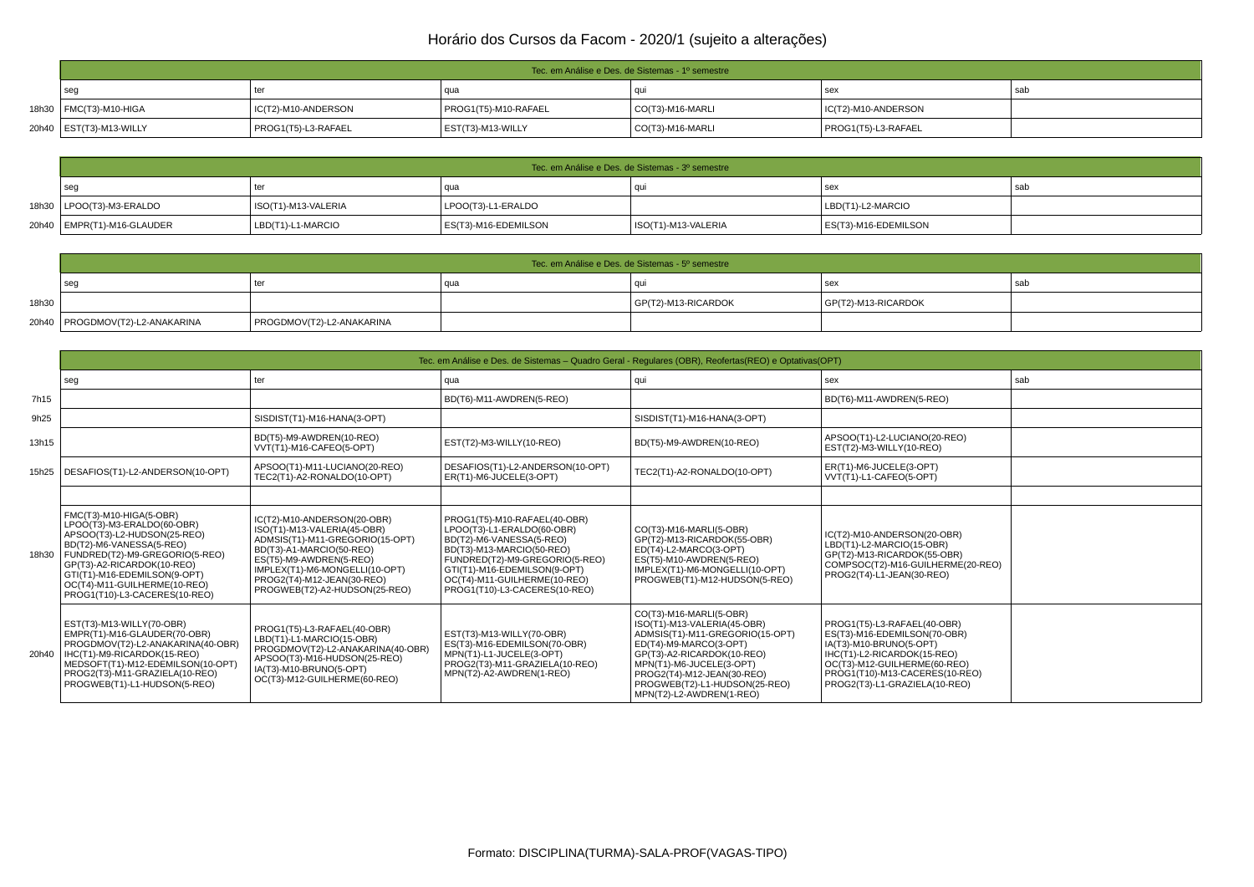| Tec. em Análise e Des. de Sistemas - 1º semestre |                        |                      |                  |                        |     |  |  |
|--------------------------------------------------|------------------------|----------------------|------------------|------------------------|-----|--|--|
| se                                               | ter                    | qua                  |                  | sex                    | sab |  |  |
| 18h30   FMC(T3)-M10-HIGA                         | $IC(T2)$ -M10-ANDERSON | PROG1(T5)-M10-RAFAEL | CO(T3)-M16-MARLI | $IC(T2)$ -M10-ANDERSON |     |  |  |
| 20h40   EST(T3)-M13-WILLY                        | PROG1(T5)-L3-RAFAEL    | EST(T3)-M13-WILLY    | CO(T3)-M16-MARLI | PROG1(T5)-L3-RAFAEL    |     |  |  |

| Tec. em Análise e Des. de Sistemas - 3º semestre |                     |                      |                     |                      |       |  |  |
|--------------------------------------------------|---------------------|----------------------|---------------------|----------------------|-------|--|--|
| sec                                              | ter                 | -uu                  |                     | sex                  | ' saL |  |  |
| 18h30   LPOO(T3)-M3-ERALDO                       | ISO(T1)-M13-VALERIA | LPOO(T3)-L1-ERALDO   |                     | LBD(T1)-L2-MARCIO    |       |  |  |
| 20h40   EMPR(T1)-M16-GLAUDER                     | LBD(T1)-L1-MARCIO   | ES(T3)-M16-EDEMILSON | ISO(T1)-M13-VALERIA | ES(T3)-M16-EDEMILSON |       |  |  |

|       | Tec. em Análise e Des. de Sistemas - 5º semestre |                           |      |                     |                     |     |  |
|-------|--------------------------------------------------|---------------------------|------|---------------------|---------------------|-----|--|
|       | sec                                              |                           | ı au |                     | se)                 | sar |  |
| 18h30 |                                                  |                           |      | GP(T2)-M13-RICARDOK | GP(T2)-M13-RICARDOK |     |  |
|       | 20h40   PROGDMOV(T2)-L2-ANAKARINA                | PROGDMOV(T2)-L2-ANAKARINA |      |                     |                     |     |  |

|       | Tec. em Análise e Des. de Sistemas – Quadro Geral - Regulares (OBR), Reofertas (REO) e Optativas (OPT)                                                                                                                                                                                    |                                                                                                                                                                                                                                                       |                                                                                                                                                                                                                                                        |                                                                                                                                                                                                                                                                          |                                                                                                                                                                                                                          |  |
|-------|-------------------------------------------------------------------------------------------------------------------------------------------------------------------------------------------------------------------------------------------------------------------------------------------|-------------------------------------------------------------------------------------------------------------------------------------------------------------------------------------------------------------------------------------------------------|--------------------------------------------------------------------------------------------------------------------------------------------------------------------------------------------------------------------------------------------------------|--------------------------------------------------------------------------------------------------------------------------------------------------------------------------------------------------------------------------------------------------------------------------|--------------------------------------------------------------------------------------------------------------------------------------------------------------------------------------------------------------------------|--|
|       | seg                                                                                                                                                                                                                                                                                       | ter                                                                                                                                                                                                                                                   | qua                                                                                                                                                                                                                                                    | qui                                                                                                                                                                                                                                                                      | sab<br>sex                                                                                                                                                                                                               |  |
| 7h15  |                                                                                                                                                                                                                                                                                           |                                                                                                                                                                                                                                                       | BD(T6)-M11-AWDREN(5-REO)                                                                                                                                                                                                                               |                                                                                                                                                                                                                                                                          | BD(T6)-M11-AWDREN(5-REO)                                                                                                                                                                                                 |  |
| 9h25  |                                                                                                                                                                                                                                                                                           | SISDIST(T1)-M16-HANA(3-OPT)                                                                                                                                                                                                                           |                                                                                                                                                                                                                                                        | SISDIST(T1)-M16-HANA(3-OPT)                                                                                                                                                                                                                                              |                                                                                                                                                                                                                          |  |
| 13h15 |                                                                                                                                                                                                                                                                                           | BD(T5)-M9-AWDREN(10-REO)<br>VVT(T1)-M16-CAFEO(5-OPT)                                                                                                                                                                                                  | EST(T2)-M3-WILLY(10-REO)                                                                                                                                                                                                                               | BD(T5)-M9-AWDREN(10-REO)                                                                                                                                                                                                                                                 | APSOO(T1)-L2-LUCIANO(20-REO)<br>EST(T2)-M3-WILLY(10-REO)                                                                                                                                                                 |  |
|       | 15h25   DESAFIOS(T1)-L2-ANDERSON(10-OPT)                                                                                                                                                                                                                                                  | APSOO(T1)-M11-LUCIANO(20-REO)<br>TEC2(T1)-A2-RONALDO(10-OPT)                                                                                                                                                                                          | DESAFIOS(T1)-L2-ANDERSON(10-OPT)<br>ER(T1)-M6-JUCELE(3-OPT)                                                                                                                                                                                            | TEC2(T1)-A2-RONALDO(10-OPT)                                                                                                                                                                                                                                              | ER(T1)-M6-JUCELE(3-OPT)<br>VVT(T1)-L1-CAFEO(5-OPT)                                                                                                                                                                       |  |
|       |                                                                                                                                                                                                                                                                                           |                                                                                                                                                                                                                                                       |                                                                                                                                                                                                                                                        |                                                                                                                                                                                                                                                                          |                                                                                                                                                                                                                          |  |
|       | FMC(T3)-M10-HIGA(5-OBR)<br>LPOO(T3)-M3-ERALDO(60-OBR)<br>APSOO(T3)-L2-HUDSON(25-REO)<br>BD(T2)-M6-VANESSA(5-REO)<br>18h30   FUNDRED(T2)-M9-GREGORIO(5-REO)<br>GP(T3)-A2-RICARDOK(10-REO)<br>GTI(T1)-M16-EDEMILSON(9-OPT)<br>OC(T4)-M11-GUILHERME(10-REO)<br>PROG1(T10)-L3-CACERES(10-REO) | IC(T2)-M10-ANDERSON(20-OBR)<br>ISO(T1)-M13-VALERIA(45-OBR)<br>ADMSIS(T1)-M11-GREGORIO(15-OPT)<br>BD(T3)-A1-MARCIO(50-REO)<br>ES(T5)-M9-AWDREN(5-REO)<br>IMPLEX(T1)-M6-MONGELLI(10-OPT)<br>PROG2(T4)-M12-JEAN(30-REO)<br>PROGWEB(T2)-A2-HUDSON(25-REO) | PROG1(T5)-M10-RAFAEL(40-OBR)<br>LPOO(T3)-L1-ERALDO(60-OBR)<br>BD(T2)-M6-VANESSA(5-REO)<br>BD(T3)-M13-MARCIO(50-REO)<br>FUNDRED(T2)-M9-GREGORIO(5-REO)<br>GTI(T1)-M16-EDEMILSON(9-OPT)<br>OC(T4)-M11-GUILHERME(10-REO)<br>PROG1(T10)-L3-CACERES(10-REO) | CO(T3)-M16-MARLI(5-OBR)<br>GP(T2)-M13-RICARDOK(55-OBR)<br>ED(T4)-L2-MARCO(3-OPT)<br>ES(T5)-M10-AWDREN(5-REO)<br>IMPLEX(T1)-M6-MONGELLI(10-OPT)<br>PROGWEB(T1)-M12-HUDSON(5-REO)                                                                                          | IC(T2)-M10-ANDERSON(20-OBR)<br>LBD(T1)-L2-MARCIO(15-OBR)<br>GP(T2)-M13-RICARDOK(55-OBR)<br>COMPSOC(T2)-M16-GUILHERME(20-REO)<br>PROG2(T4)-L1-JEAN(30-REO)                                                                |  |
|       | EST(T3)-M13-WILLY(70-OBR)<br>EMPR(T1)-M16-GLAUDER(70-OBR)<br>PROGDMOV(T2)-L2-ANAKARINA(40-OBR)<br>20h40   IHC(T1)-M9-RICARDOK(15-REO)<br>MEDSOFT(T1)-M12-EDEMILSON(10-OPT)<br>PROG2(T3)-M11-GRAZIELA(10-REO)<br>PROGWEB(T1)-L1-HUDSON(5-REO)                                              | PROG1(T5)-L3-RAFAEL(40-OBR)<br>LBD(T1)-L1-MARCIO(15-OBR)<br>PROGDMOV(T2)-L2-ANAKARINA(40-OBR)<br>APSOO(T3)-M16-HUDSON(25-REO)<br>IA(T3)-M10-BRUNO(5-OPT)<br>OC(T3)-M12-GUILHERME(60-REO)                                                              | EST(T3)-M13-WILLY(70-OBR)<br>ES(T3)-M16-EDEMILSON(70-OBR)<br>MPN(T1)-L1-JUCELE(3-OPT)<br>PROG2(T3)-M11-GRAZIELA(10-REO)<br>MPN(T2)-A2-AWDREN(1-REO)                                                                                                    | CO(T3)-M16-MARLI(5-OBR)<br>ISO(T1)-M13-VALERIA(45-OBR)<br>ADMSIS(T1)-M11-GREGORIO(15-OPT)<br>ED(T4)-M9-MARCO(3-OPT)<br>GP(T3)-A2-RICARDOK(10-REO)<br>MPN(T1)-M6-JUCELE(3-OPT)<br>PROG2(T4)-M12-JEAN(30-REO)<br>PROGWEB(T2)-L1-HUDSON(25-REO)<br>MPN(T2)-L2-AWDREN(1-REO) | PROG1(T5)-L3-RAFAEL(40-OBR)<br>ES(T3)-M16-EDEMILSON(70-OBR)<br>IA(T3)-M10-BRUNO(5-OPT)<br>IHC(T1)-L2-RICARDOK(15-REO)<br>OC(T3)-M12-GUILHERME(60-REO)<br>PROG1(T10)-M13-CACERES(10-REO)<br>PROG2(T3)-L1-GRAZIELA(10-REO) |  |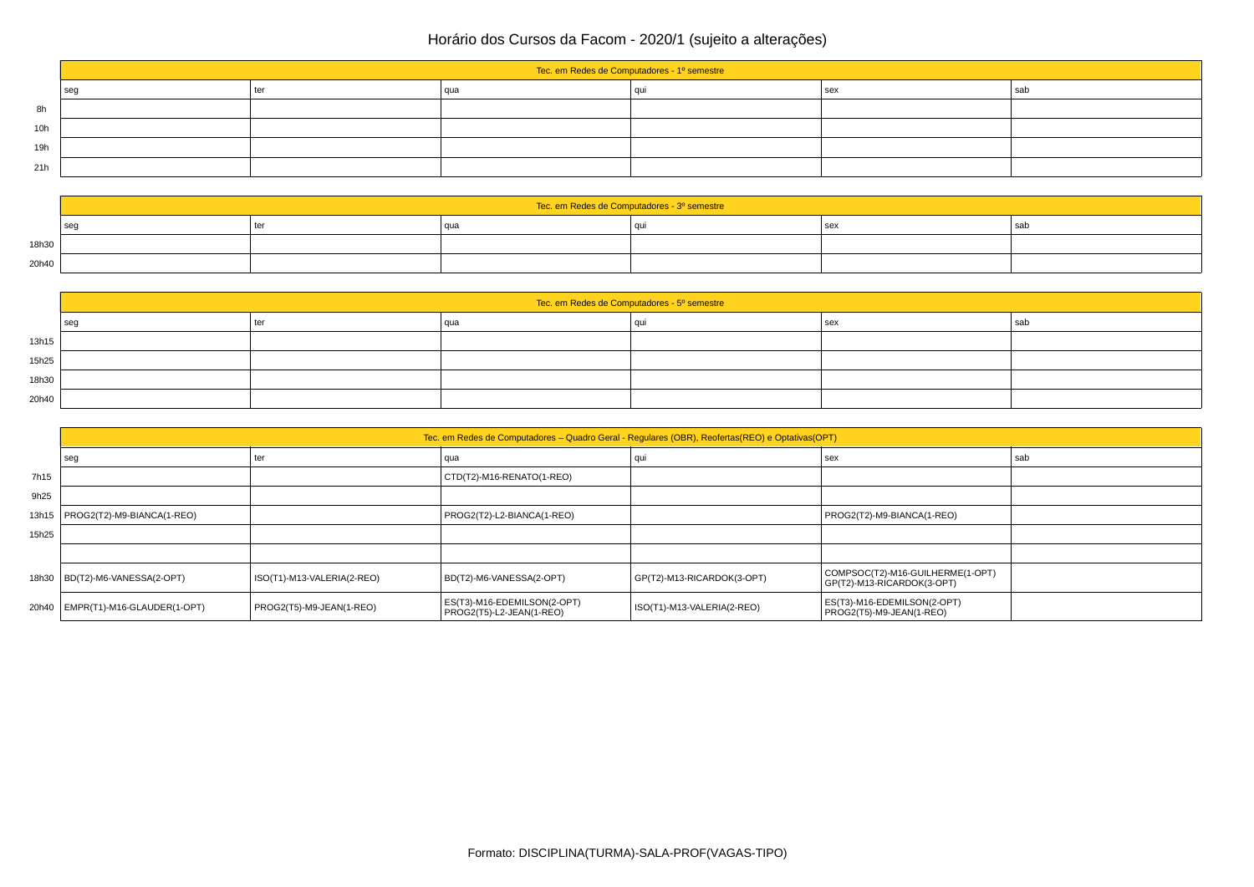|     | Tec. em Redes de Computadores - 1º semestre |     |     |  |     |     |  |
|-----|---------------------------------------------|-----|-----|--|-----|-----|--|
|     | seg                                         | ter | qua |  | sex | sab |  |
| 8h  |                                             |     |     |  |     |     |  |
| 10h |                                             |     |     |  |     |     |  |
| 19h |                                             |     |     |  |     |     |  |
| 21h |                                             |     |     |  |     |     |  |

|       | Tec. em Redes de Computadores - 3º semestre |    |  |  |  |     |  |
|-------|---------------------------------------------|----|--|--|--|-----|--|
|       | se                                          | te |  |  |  | sat |  |
| 18h30 |                                             |    |  |  |  |     |  |
| 20h40 |                                             |    |  |  |  |     |  |

|       | Tec. em Redes de Computadores - 5º semestre |     |     |  |            |       |  |
|-------|---------------------------------------------|-----|-----|--|------------|-------|--|
|       | $ $ seg                                     | ter | aua |  | <b>sex</b> | l sab |  |
| 13h15 |                                             |     |     |  |            |       |  |
| 15h25 |                                             |     |     |  |            |       |  |
| 18h30 |                                             |     |     |  |            |       |  |
| 20h40 |                                             |     |     |  |            |       |  |

|       | Tec. em Redes de Computadores – Quadro Geral - Regulares (OBR), Reofertas (REO) e Optativas (OPT) |                            |                                                         |                            |                                                                |     |  |
|-------|---------------------------------------------------------------------------------------------------|----------------------------|---------------------------------------------------------|----------------------------|----------------------------------------------------------------|-----|--|
|       | seg                                                                                               | ter                        | qua                                                     | quı                        | sex                                                            | sab |  |
| 7h15  |                                                                                                   |                            | CTD(T2)-M16-RENATO(1-REO)                               |                            |                                                                |     |  |
| 9h25  |                                                                                                   |                            |                                                         |                            |                                                                |     |  |
|       | 13h15   PROG2(T2)-M9-BIANCA(1-REO)                                                                |                            | PROG2(T2)-L2-BIANCA(1-REO)                              |                            | PROG2(T2)-M9-BIANCA(1-REO)                                     |     |  |
| 15h25 |                                                                                                   |                            |                                                         |                            |                                                                |     |  |
|       |                                                                                                   |                            |                                                         |                            |                                                                |     |  |
|       | 18h30   BD(T2)-M6-VANESSA(2-OPT)                                                                  | ISO(T1)-M13-VALERIA(2-REO) | BD(T2)-M6-VANESSA(2-OPT)                                | GP(T2)-M13-RICARDOK(3-OPT) | COMPSOC(T2)-M16-GUILHERME(1-OPT)<br>GP(T2)-M13-RICARDOK(3-OPT) |     |  |
|       | 20h40   EMPR(T1)-M16-GLAUDER(1-OPT)                                                               | PROG2(T5)-M9-JEAN(1-REO)   | ES(T3)-M16-EDEMILSON(2-OPT)<br>PROG2(T5)-L2-JEAN(1-REO) | ISO(T1)-M13-VALERIA(2-REO) | ES(T3)-M16-EDEMILSON(2-OPT)<br>PROG2(T5)-M9-JEAN(1-REO)        |     |  |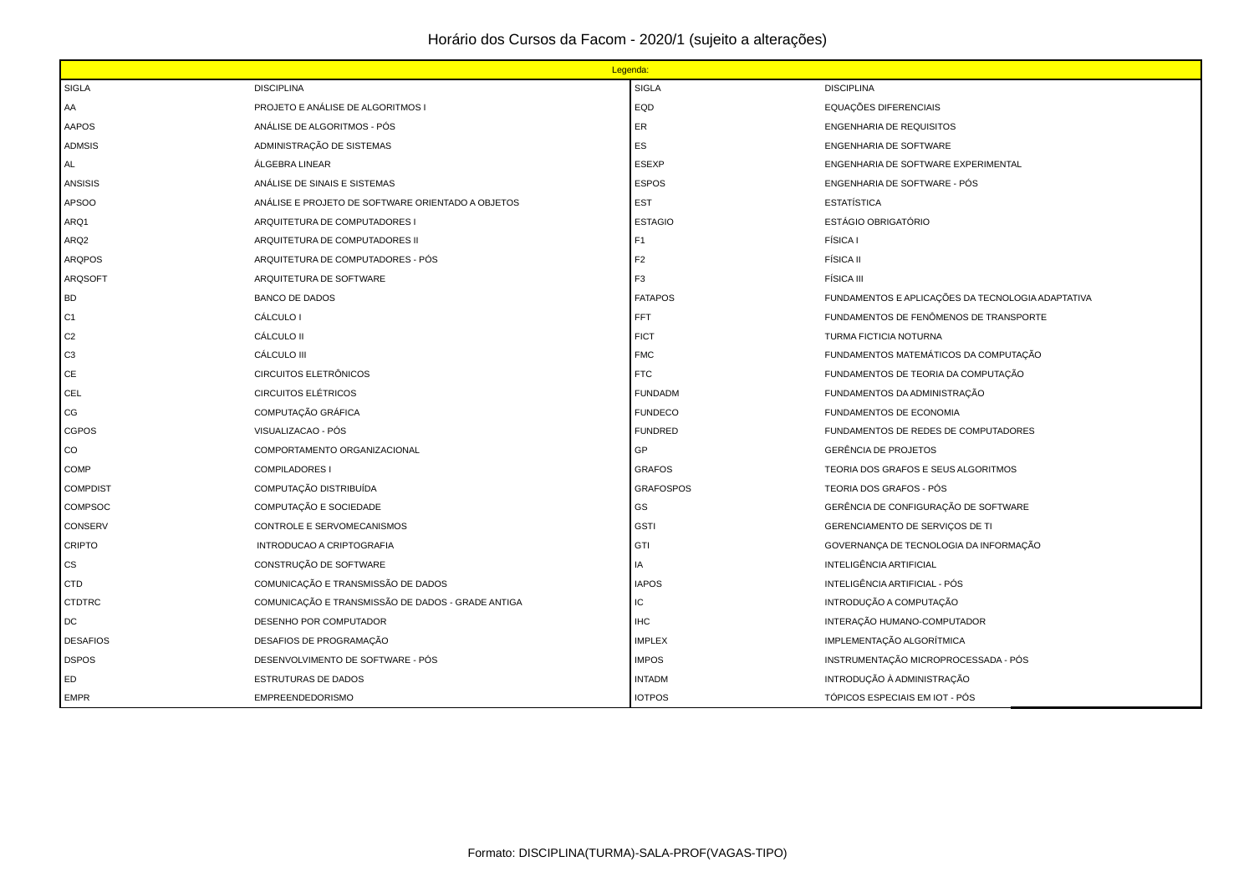|                          | Legenda:                                          |                  |                                                   |  |  |  |
|--------------------------|---------------------------------------------------|------------------|---------------------------------------------------|--|--|--|
| <b>SIGLA</b>             | <b>DISCIPLINA</b>                                 | <b>SIGLA</b>     | <b>DISCIPLINA</b>                                 |  |  |  |
| AA                       | PROJETO E ANÁLISE DE ALGORITMOS I                 | EQD              | EQUAÇÕES DIFERENCIAIS                             |  |  |  |
| <b>AAPOS</b>             | ANÁLISE DE ALGORITMOS - PÓS                       | ER               | ENGENHARIA DE REQUISITOS                          |  |  |  |
| <b>ADMSIS</b>            | ADMINISTRAÇÃO DE SISTEMAS                         | ES               | ENGENHARIA DE SOFTWARE                            |  |  |  |
| AL                       | ÁLGEBRA LINEAR                                    | <b>ESEXP</b>     | ENGENHARIA DE SOFTWARE EXPERIMENTAL               |  |  |  |
| <b>ANSISIS</b>           | ANÁLISE DE SINAIS E SISTEMAS                      | <b>ESPOS</b>     | ENGENHARIA DE SOFTWARE - PÓS                      |  |  |  |
| APSOO                    | ANÁLISE E PROJETO DE SOFTWARE ORIENTADO A OBJETOS | <b>EST</b>       | <b>ESTATÍSTICA</b>                                |  |  |  |
| ARQ1                     | ARQUITETURA DE COMPUTADORES I                     | <b>ESTAGIO</b>   | ESTÁGIO OBRIGATÓRIO                               |  |  |  |
| ARQ <sub>2</sub>         | ARQUITETURA DE COMPUTADORES II                    | F1               | <b>FÍSICA1</b>                                    |  |  |  |
| <b>ARQPOS</b>            | ARQUITETURA DE COMPUTADORES - PÓS                 | F <sub>2</sub>   | <b>FÍSICA II</b>                                  |  |  |  |
| <b>ARQSOFT</b>           | ARQUITETURA DE SOFTWARE                           | F <sub>3</sub>   | <b>FÍSICA III</b>                                 |  |  |  |
| BD                       | <b>BANCO DE DADOS</b>                             | <b>FATAPOS</b>   | FUNDAMENTOS E APLICAÇÕES DA TECNOLOGIA ADAPTATIVA |  |  |  |
| C1                       | CÁLCULO I                                         | FFT.             | FUNDAMENTOS DE FENÔMENOS DE TRANSPORTE            |  |  |  |
| C <sub>2</sub>           | CÁLCULO II                                        | <b>FICT</b>      | TURMA FICTICIA NOTURNA                            |  |  |  |
| C <sub>3</sub>           | CÁLCULO III                                       | <b>FMC</b>       | FUNDAMENTOS MATEMÁTICOS DA COMPUTAÇÃO             |  |  |  |
| CE                       | CIRCUITOS ELETRÔNICOS                             | <b>FTC</b>       | FUNDAMENTOS DE TEORIA DA COMPUTAÇÃO               |  |  |  |
| <b>CEL</b>               | <b>CIRCUITOS ELÉTRICOS</b>                        | <b>FUNDADM</b>   | FUNDAMENTOS DA ADMINISTRAÇÃO                      |  |  |  |
| CG                       | COMPUTAÇÃO GRÁFICA                                | <b>FUNDECO</b>   | FUNDAMENTOS DE ECONOMIA                           |  |  |  |
| CGPOS                    | VISUALIZACAO - PÓS                                | <b>FUNDRED</b>   | FUNDAMENTOS DE REDES DE COMPUTADORES              |  |  |  |
| CO                       | COMPORTAMENTO ORGANIZACIONAL                      | GP               | <b>GERÊNCIA DE PROJETOS</b>                       |  |  |  |
| COMP                     | <b>COMPILADORES I</b>                             | <b>GRAFOS</b>    | TEORIA DOS GRAFOS E SEUS ALGORITMOS               |  |  |  |
| <b>COMPDIST</b>          | COMPUTAÇÃO DISTRIBUÍDA                            | <b>GRAFOSPOS</b> | TEORIA DOS GRAFOS - PÓS                           |  |  |  |
| COMPSOC                  | COMPUTAÇÃO E SOCIEDADE                            | GS               | GERÊNCIA DE CONFIGURAÇÃO DE SOFTWARE              |  |  |  |
| CONSERV                  | CONTROLE E SERVOMECANISMOS                        | <b>GSTI</b>      | GERENCIAMENTO DE SERVIÇOS DE TI                   |  |  |  |
| <b>CRIPTO</b>            | INTRODUCAO A CRIPTOGRAFIA                         | GTI              | GOVERNANÇA DE TECNOLOGIA DA INFORMAÇÃO            |  |  |  |
| $\mathsf{CS}\phantom{0}$ | CONSTRUÇÃO DE SOFTWARE                            | IA               | INTELIGÊNCIA ARTIFICIAL                           |  |  |  |
| <b>CTD</b>               | COMUNICAÇÃO E TRANSMISSÃO DE DADOS                | <b>IAPOS</b>     | INTELIGÊNCIA ARTIFICIAL - PÓS                     |  |  |  |
| <b>CTDTRC</b>            | COMUNICAÇÃO E TRANSMISSÃO DE DADOS - GRADE ANTIGA | IC.              | INTRODUÇÃO A COMPUTAÇÃO                           |  |  |  |
| DC                       | DESENHO POR COMPUTADOR                            | <b>IHC</b>       | INTERAÇÃO HUMANO-COMPUTADOR                       |  |  |  |
| <b>DESAFIOS</b>          | DESAFIOS DE PROGRAMAÇÃO                           | <b>IMPLEX</b>    | IMPLEMENTAÇÃO ALGORÍTMICA                         |  |  |  |
| <b>DSPOS</b>             | DESENVOLVIMENTO DE SOFTWARE - PÓS                 | <b>IMPOS</b>     | INSTRUMENTAÇÃO MICROPROCESSADA - PÓS              |  |  |  |
| ED                       | ESTRUTURAS DE DADOS                               | <b>INTADM</b>    | INTRODUÇÃO À ADMINISTRAÇÃO                        |  |  |  |
| <b>EMPR</b>              | <b>EMPREENDEDORISMO</b>                           | <b>IOTPOS</b>    | TÓPICOS ESPECIAIS EM IOT - PÓS                    |  |  |  |